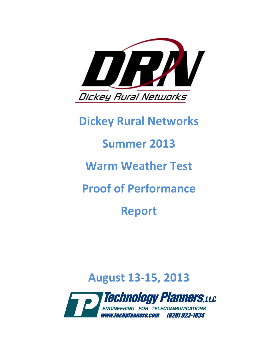

# **Dickey Rural Networks**

# **Summer 2013**

# **Warm Weather Test**

# **Proof of Performance**

# **Report**

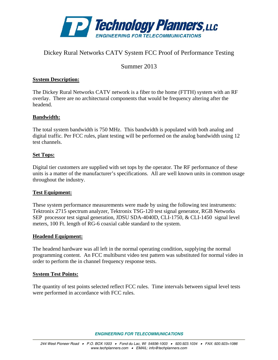

### Dickey Rural Networks CATV System FCC Proof of Performance Testing

Summer 2013

#### **System Description:**

The Dickey Rural Networks CATV network is a fiber to the home (FTTH) system with an RF overlay. There are no architectural components that would be frequency altering after the headend.

#### **Bandwidth:**

The total system bandwidth is 750 MHz. This bandwidth is populated with both analog and digital traffic. Per FCC rules, plant testing will be performed on the analog bandwidth using 12 test channels.

#### **Set Tops:**

Digital tier customers are supplied with set tops by the operator. The RF performance of these units is a matter of the manufacturer's specifications. All are well known units in common usage throughout the industry.

#### **Test Equipment:**

These system performance measurements were made by using the following test instruments: Tektronix 2715 spectrum analyzer, Tektronix TSG-120 test signal generator, RGB Networks SEP processor test signal generation, JDSU SDA-4040D, CLI-1750, & CLI-1450 signal level meters, 100 Ft. length of RG-6 coaxial cable standard to the system.

#### **Headend Equipment:**

The headend hardware was all left in the normal operating condition, supplying the normal programming content. An FCC multiburst video test pattern was substituted for normal video in order to perform the in channel frequency response tests.

#### **System Test Points:**

The quantity of test points selected reflect FCC rules. Time intervals between signal level tests were performed in accordance with FCC rules.

*ENGINEERING FOR TELECOMMUNICATIONS*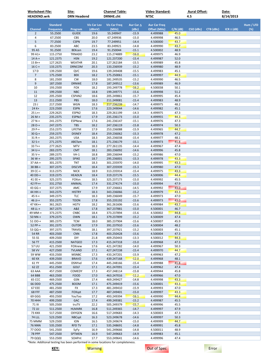| <b>Worksheet File:</b><br><b>HEADEND.wrk</b> |                                     | Site:<br><b>DRN Headend</b>  |                              | <b>Channel Table:</b><br><b>DRNHE.cht</b> |                           | Video Standard:<br><b>NTSC</b>      |              | <b>Aural Offset:</b><br>4.5 |           | Date:<br>8/14/2013 |           |
|----------------------------------------------|-------------------------------------|------------------------------|------------------------------|-------------------------------------------|---------------------------|-------------------------------------|--------------|-----------------------------|-----------|--------------------|-----------|
|                                              |                                     |                              |                              |                                           |                           |                                     |              |                             |           |                    |           |
| <b>Channel</b>                               | <b>Standard</b><br><b>Frequency</b> | Program                      | <b>Vis Car Lev</b><br>(dBmV) | <b>Vis Car Freq</b><br>(MHz)              | Aur Car $\Delta$<br>(dBc) | <b>Aur Car Freq</b><br>Offset (MHz) | $C/N$ (dB)   | CSO (dBc)                   | CTB (dBc) | $ICR \pm (dB)$     | Hum / LFD |
| $\overline{2}$                               | 55.2500                             | <b>GUIDE</b>                 | 19.6                         | 55.249947                                 | $-15.9$                   | 4.499988                            | 45.0         |                             |           |                    | $(\%)$    |
| 4                                            | 67.2500                             | <b>CBS</b>                   | 20.0                         | 67.249936                                 | $-15.0$                   | 4.499998                            | 46.5         |                             |           |                    |           |
| 5                                            | 77.2500                             | <b>CSPN</b>                  | 19.7                         | 77.249951                                 | $-14.4$                   | 4.500000                            | 43.7         |                             |           |                    |           |
| 6                                            | 83.2500                             | ABC                          | 23.5                         | 83.249921                                 | $-14.8$                   | 4.499990                            | 43.7         |                             |           |                    |           |
| 95 A5                                        | 91.2500                             | <b>BEKcen</b>                | 19.4                         | 91.250044                                 | $-15.1$                   | 4.500002                            | 48.9         |                             |           |                    |           |
| 99 A1+<br>$14A +$                            | 115.2750                            | <b>TRNADO</b><br><b>HSN</b>  | 23.2<br>19.2                 | 115.274889<br>121.237200                  | $-16.0$<br>$-15.4$        | 4.499975<br>4.499987                | 46.9<br>52.0 |                             |           |                    |           |
| $15B++$                                      | 121.2375<br>127.2625                | <b>WEATHR</b>                | 20.1                         | 127.262184                                | $-15.5$                   | 4.499989                            | 45.8         |                             |           |                    |           |
| $16C +$                                      | 133.2375                            | <b>DRNCOM</b>                | 20.3                         | 133.236939                                | $-15.2$                   | 4.499980                            | 48.9         |                             |           |                    |           |
| 17 <sub>D</sub>                              | 139.2500                            | QVC                          | 19.6                         | 139.249408                                | $-15.5$                   | 4.499983                            | 45.1         |                             |           |                    |           |
| $\overline{7}$                               | 175.2500                            | <b>BEK</b>                   | 18.2                         | 175.250061                                | $-15.1$                   | 4.499997                            | 44.9         |                             |           |                    |           |
| 8                                            | 181.2500                            | <b>CW</b>                    | 18.0                         | 181.249535                                | $-15.2$                   | 4.499990                            | 46.5         |                             |           |                    |           |
| 9                                            | 187.2500                            | <b>DRNWE</b>                 | 17.8                         | 187.249512                                | $-13.6$                   | 4.499989                            | 46.9         |                             |           |                    |           |
| 10<br>11                                     | 193.2500                            | FOX<br><b>NBC</b>            | 18.2<br>18.8                 | 193.249778                                | $-16.2$<br>$-15.6$        | 4.500038<br>4.499998                | 50.1<br>51.2 |                             |           |                    |           |
| 12                                           | 199.2500<br>205.2500                | CSPAN2                       | 18.6                         | 199.249771<br>205.249861                  | $-15.7$                   | 4.499995                            | 45.4         |                             |           |                    |           |
| 13                                           | 211.2500                            | PBS                          | 18.0                         | 211.249081                                | $-15.4$                   | 4.499983                            | 48.9         |                             |           |                    |           |
| 23J                                          | 217.2500                            | <b>WGN</b>                   | 18.3                         | 217.236239                                | $-14.7$                   | 4.499975                            | 48.2         |                             |           |                    |           |
| 24 K+                                        | 223.2500                            | <b>ESPN</b>                  | 17.6                         | 223.249044                                | $-14.6$                   | 4.499982                            | 45.1         |                             |           |                    |           |
| 25 L++                                       | 229.2625                            | ESPN <sub>2</sub>            | 18.3                         | 229.261199                                | $-14.3$                   | 4.499975                            | 47.3         |                             |           |                    |           |
| 26 M-+                                       | 235.2375                            | <b>ESPNcl</b>                | 17.9                         | 235.236173                                | $-15.0$                   | 4.499955                            | 44.3         |                             |           |                    |           |
| 27 N-+                                       | 241.2375                            | <b>ESPNew</b>                | 17.6                         | 241.236147                                | $-15.1$                   | 4.499976                            | 47.3         |                             |           |                    |           |
| 28 O-+                                       | 247.2375                            | TBS<br>LIFETM                | 18.2                         | 247.236119<br>253.236088                  | $-15.8$                   | 4.499974<br>4.499965                | 50.3<br>44.7 |                             |           |                    |           |
| 29 P-+<br>30 Q-+                             | 253.2375<br>259.2375                | <b>DISNEY</b>                | 17.9<br>18.4                 | 259.236062                                | $-15.9$<br>$-15.3$        | 4.499978                            | 47.2         |                             |           |                    |           |
| $31 R +$                                     | 265.2375                            | <b>USA</b>                   | 18.3                         | 265.236038                                | $-15.4$                   | 4.499977                            | 48.1         |                             |           |                    |           |
| $32S+$                                       | 271.2375                            | ABCfam                       | 18.1                         | 271.236179                                | $-15.1$                   | 4.499973                            | 41.8         |                             |           |                    |           |
| 33 T++                                       | 277.2625                            | <b>MTV</b>                   | 18.3                         | 277.261135                                | $-14.4$                   | 4.499967                            | 47.4         |                             |           |                    |           |
| 34 U-+                                       | 283.2375                            | <b>CMT</b>                   | 18.1                         | 283.236092                                | $-14.6$                   | 4.499996                            | 45.8         |                             |           |                    |           |
| $35 V+$                                      | 289.2375                            | $VH-1$                       | 18.8                         | 289.236044                                | $-15.2$                   | 4.499986                            | 47.0         |                             |           |                    |           |
| 36 W-+                                       | 295.2375                            | <b>SPIKE</b>                 | 18.7                         | 295.236001                                | $-15.3$                   | 4.499978                            | 43.3         |                             |           |                    |           |
| 37 AA-+<br>38 BB-+                           | 301.2375<br>307.2375                | TNT<br><b>DISCVR</b>         | 18.3<br>18.4                 | 301.235970<br>307.235939                  | $-14.0$<br>$-15.3$        | 4.499995<br>4.499980                | 43.3<br>47.0 |                             |           |                    |           |
| 39 CC-+                                      | 313.2375                            | <b>NICK</b>                  | 18.9                         | 313.235914                                | $-15.4$                   | 4.499975                            | 43.3         |                             |           |                    |           |
| 40 DD-+                                      | 319.2375                            | <b>HEADLN</b>                | 18.4                         | 319.237176                                | $-15.5$                   | 4.500006                            | 44.4         |                             |           |                    |           |
| 41 EE-+                                      | 325.2375                            | FOXsn                        | 18.5                         | 325.237173                                | $-15.0$                   | 4.499992                            | 45.5         |                             |           |                    |           |
| 42 FF++                                      | 331.2750                            | ANIMAL                       | 17.4                         | 331.274174                                | $-15.0$                   | 4.499994                            | 47.9         |                             |           |                    |           |
| 43 GG-+                                      | 337.2375                            | AMC                          | 17.9                         | 337.236661                                | $-14.5$                   | 4.499992                            | 43.0         |                             |           |                    |           |
| 44 HH-+                                      | 343.2375                            | <b>HISTRY</b>                | 18.3                         | 343.236066                                | $-15.2$                   | 4.499979                            | 43.3         |                             |           |                    |           |
| 45 II-+<br>46 JJ-+                           | 349.2375<br>355.2375                | TLC<br><b>TOON</b>           | 18.3<br>17.8                 | 349.236049<br>355.235192                  | $-15.7$<br>$-15.6$        | 4.499973<br>4.499973                | 47.0<br>43.0 |                             |           |                    |           |
| 47 KK++                                      | 361.2625                            | <b>HGTV</b>                  | 18.2                         | 361.261606                                | $-15.6$                   | 4.499984                            | 43.7         |                             |           |                    |           |
| 48 LL-+                                      | 367.2375                            | A&E                          | 17.8                         | 367.237881                                | $-15.0$                   | 4.500001                            | 46.7         |                             |           |                    |           |
| 49 MM-+                                      | 373.2375                            | CNBC                         | 18.4                         | 373.237894                                | $-15.6$                   | 4.500002                            | 44.8         |                             |           |                    |           |
| 50 NN-+                                      | 379.2375                            | <b>OWN</b>                   | 18.1                         | 379.237899                                | $-15.2$                   | 4.500009                            | 47.4         |                             |           |                    |           |
| 51 00-+                                      | 385.2375                            | <b>TCM</b>                   | 18.0                         | 385.237904                                | $-15.6$                   | 4.500007                            | 45.9         |                             |           |                    |           |
| 52 PP-+                                      | 391.2375                            | <b>OUTDR</b>                 | 17.9                         | 391.237910                                | $-15.6$                   | 4.500004                            | 48.2         |                             |           |                    |           |
| 53 QQ-+                                      | 397.2375                            | <b>TRAVEL</b>                | 18.1                         | 397.237921                                | $-15.2$                   | 4.500003                            | 45.1         |                             |           |                    |           |
| <b>54 RR</b><br>55 SS                        | 403.2500<br>409.2500                | <b>CNN</b><br>DIY            | 17.8<br>21.8                 | 403.250428<br>409.250443                  | $-15.6$<br>$-13.3$        | 4.500004<br>4.500012                | 47.3<br>44.3 |                             |           |                    |           |
| 56 TT                                        | 415.2500                            | <b>NATGEO</b>                | 17.3                         | 415.247318                                | $-15.0$                   | 4.499968                            | 47.3         |                             |           |                    |           |
| 57 UU                                        | 421.2500                            | FOXnew                       | 17.6                         | 421.247282                                | $-14.0$                   | 4.499967                            | 50.3         |                             |           |                    |           |
| <b>58 VV</b>                                 | 427.2500                            | <b>TVLAND</b>                | 17.1                         | 427.247238                                | $-15.4$                   | 4.499970                            | 44.7         |                             |           |                    |           |
| 59 WW                                        | 433.2500                            | <b>MSNBC</b>                 | 17.3                         | 433.247201                                | $-15.9$                   | 4.499963                            | 47.2         |                             |           |                    |           |
| 60 XX                                        | 439.2500                            | <b>BRAVO</b>                 | 17.6                         | 439.247168                                | $-12.0$                   | 4.499968                            | 48.1         |                             |           |                    |           |
| 61 YY<br>62 ZZ                               | 445.2500<br>451.2500                | <b>DSNYxd</b><br><b>GOLF</b> | 17.4<br>17.1                 | 445.248166<br>451.247091                  | $-15.4$<br>$-15.4$        | 4.499988<br>4.499962                | 41.8<br>47.4 |                             |           |                    |           |
| 63 AAA                                       | 457.2500                            | COMEDY                       | 17.3                         | 457.248114                                | $-15.8$                   | 4.499944                            | 45.8         |                             |           |                    |           |
| 64 BBB                                       | 463.2500                            | <b>FOOD</b>                  | 17.0                         | 463.247016                                | $-12.2$                   | 4.499966                            | 47.0         |                             |           |                    |           |
| 65 CCC                                       | 469.2500                            | GSN                          | 17.4                         | 469.249427                                | $-14.8$                   | 4.499998                            | 43.3         |                             |           |                    |           |
| 66 DDD                                       | 475.2500                            | <b>BOOM</b>                  | 17.1                         | 475.249419                                | $-15.6$                   | 4.500001                            | 43.3         |                             |           |                    |           |
| 67 EEE                                       | 481.2500                            | FX                           | 17.3                         | 481.249410                                | $-15.9$                   | 4.499993                            | 47.0         |                             |           |                    |           |
| 68 FFF                                       | 487.2500                            | FOXspt                       | 17.7                         | 487.249401                                | $-15.0$                   | 4.499997                            | 43.3         |                             |           |                    |           |
| 69 GGG                                       | 493.2500                            | YouToo                       | 17.2                         | 493.249394                                | $-16.1$                   | 4.499990                            | 44.4         |                             |           |                    |           |
| <b>70 HHH</b>                                | 499.2500                            | GAC                          | 17.4                         | 499.249381                                | $-15.2$                   | 4.499987                            | 45.5         |                             |           |                    |           |
| 71 III<br>72 JJJ                             | 505.2500<br>511.2500                | truTV<br><b>HLMARK</b>       | 22.2<br>16.8                 | 505.249379<br>511.249365                  | $-15.7$<br>$-14.7$        | 4.499996<br>4.499997                | 45.5<br>47.9 |                             |           |                    |           |
| <b>73 KKK</b>                                | 517.2500                            | OXYGEN                       | 16.6                         | 517.249683                                | $-14.3$                   | 4.500003                            | 47.3         |                             |           |                    |           |
| <b>74 LLL</b>                                | 523.2500                            | <b>NBCspt</b>                | 16.3                         | 523.249678                                | $-14.6$                   | 4.499997                            | 50.3         |                             |           |                    |           |
| 75 MMM                                       | 529.2500                            | <b>ION</b>                   | 16.5                         | 529.249674                                | $-15.0$                   | 4.499999                            | 44.7         |                             |           |                    |           |
| <b>76 NNN</b>                                | 535.2500                            | <b>RFD TV</b>                | 17.1                         | 535.248691                                | $-14.8$                   | 4.499991                            | 45.8         |                             |           |                    |           |
| 77000                                        | 541.2500                            | SyFy                         | 16.9                         | 541.249666                                | $-14.8$                   | 4.500011                            | 48.9         |                             |           |                    |           |
| <b>78 PPP</b>                                | 547.2500                            | SPTMEN                       | 16.9                         | 547.249663                                | $-14.9$                   | 4.499983                            | 45.1         |                             |           |                    |           |
| 79 QQQ                                       | 553.2500                            | SOAPnt                       | 17.7                         | 553.249641                                | $-14.6$                   | 4.499996                            | 47.4         |                             |           |                    |           |

\*Note: Additonal testing has been performed in some locations for completeness.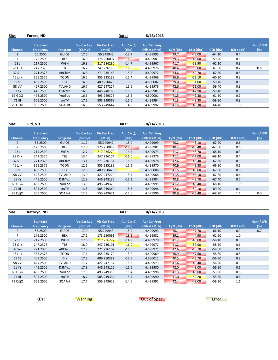| Site:          | Forbes, ND                          |               |                              |                       | Date:                     | 8/13/2013                           |            |           |           |                |                  |
|----------------|-------------------------------------|---------------|------------------------------|-----------------------|---------------------------|-------------------------------------|------------|-----------|-----------|----------------|------------------|
| <b>Channel</b> | <b>Standard</b><br><b>Frequency</b> | Program       | <b>Vis Car Lev</b><br>(dBmV) | Vis Car Freq<br>(MHz) | Aur Car $\Delta$<br>(dBc) | <b>Aur Car Freg</b><br>Offset (MHz) | $C/N$ (dB) | CSO (dBc) | CTB (dBc) | $ICR \pm (dB)$ | Hum / LFD<br>(%) |
| $\overline{2}$ | 55.2500                             | <b>GUIDE</b>  | 17.0                         | 55.249945             | $-15.7$                   | 4.499995                            | 39.7       | $-48.00$  | $-64.10$  | 0.4            |                  |
| 7              | 175.2500                            | <b>BEK</b>    | 16.0                         | 175.250097            | $-18.0$                   | 4.499981                            | 39.3       | $-45.00$  | $-59.20$  | 0.5            |                  |
| 23J            | 217.2500                            | <b>WGN</b>    | 16.3                         | 217.236280            | $-14.7$                   | 4.499967                            | 41.7       | $-53.90$  | $-62.10$  | 0.3            |                  |
| $28O-+$        | 247.2375                            | <b>TBS</b>    | 16.7                         | 247.236115            | $-16.0$                   | 4.499976                            | 40.4       | $-50.00$  | $-61.00$  | 0.2            | 0.5              |
| $32S+$         | 271.2375                            | ABCfam        | 16.6                         | 271.236143            | $-15.5$                   | 4.499972                            | 34.6       | $-49.70$  | $-62.50$  | 0.5            |                  |
| $46$ JJ-+      | 355.2375                            | <b>TOON</b>   | 16.5                         | 355.235192            | $-15.4$                   | 4.499969                            | 36.6       | $-52.10$  | $-60.20$  | 0.8            |                  |
| 55 SS          | 409.2500                            | <b>DIY</b>    | 16.8                         | 409.250429            | $-13.5$                   | 4.500002                            | 39.0       | $-51.00$  | $-59.40$  | 0.8            |                  |
| 58 VV          | 427.2500                            | <b>TVLAND</b> | 16.7                         | 427.247227            | $-15.6$                   | 4.499976                            | 42.6       | $-51.00$  | $-59.40$  | 0.9            |                  |
| 61 YY          | 445.2500                            | <b>DSNYxd</b> | 16.8                         | 445.248166            | $-15.6$                   | 4.499981                            | 41.2       | $-47.90$  | $-59.40$  | 0.9            |                  |
| 69 GGG         | 493.2500                            | YouToo        | 16.5                         | 493.249376            | $-15.5$                   | 4.500001                            | 41.5       | $-49.30$  | $-61.50$  | 0.9            |                  |
| <b>71 III</b>  | 505.2500                            | truTV         | 17.2                         | 505.249362            | $-15.6$                   | 4.499994                            | 41.3       | $-49.30$  | $-59.80$  | 0.9            |                  |
| 79 QQQ         | 553.2500                            | SOAPnt        | 16.5                         | 553.249647            | $-14.9$                   | 4.499992                            | 41.5       | $-48.30$  | $-64.40$  | 1.0            |                  |

| Site:          | Jud, ND                             |               |                              |                              | Date:                     | 8/14/2013                           |            |           |           |                |                  |
|----------------|-------------------------------------|---------------|------------------------------|------------------------------|---------------------------|-------------------------------------|------------|-----------|-----------|----------------|------------------|
| <b>Channel</b> | <b>Standard</b><br><b>Frequency</b> | Program       | <b>Vis Car Lev</b><br>(dBmV) | <b>Vis Car Freq</b><br>(MHz) | Aur Car $\Delta$<br>(dBc) | <b>Aur Car Freq</b><br>Offset (MHz) | $C/N$ (dB) | CSO (dBc) | CTB (dBc) | $ICR \pm (dB)$ | Hum / LFD<br>(%) |
| $\overline{2}$ | 55.2500                             | <b>GUIDE</b>  | 11.2                         | 55.249942                    | $-15.0$                   | 4.499999                            | 40.2       | $-48.10$  | $-67.20$  | 0.6            |                  |
| $\overline{7}$ | 175.2500                            | BEK           | 12.0                         | 175.250079                   | $-18.3$                   | 4.499981                            | 40.4       | $-48.40$  | $-67.80$  | 0.6            |                  |
| 23J            | 217.2500                            | <b>WGN</b>    | 12.7                         | 217.236272                   | $-14.7$                   | 4.499973                            | 41.2       | $-48.70$  | $-68.10$  | 0.3            |                  |
| $28O +$        | 247.2375                            | TBS           | 13.4                         | 247.236104                   | $-16.0$                   | 4.499976                            | 41.2       | $-47.00$  | $-68.10$  | 0.4            |                  |
| $32S+$         | 271.2375                            | ABCfam        | 13.1                         | 271.236134                   | $-15.5$                   | 4.499978                            | 42.6       | $-48.40$  | $-67.80$  | 0.3            |                  |
| $46$ JJ-+      | 355.2375                            | <b>TOON</b>   | 12.6                         | 355.235189                   | $-15.5$                   | 4.499970                            | 40.9       | $-49.80$  | $-66.90$  | 0.6            |                  |
| 55 SS          | 409.2500                            | <b>DIY</b>    | 12.6                         | 409.250428                   | $-13.0$                   | 4.500006                            | 41.5       | $-49.00$  | $-67.00$  | 0.6            |                  |
| 58 VV          | 427.2500                            | <b>TVLAND</b> | 13.0                         | 427.247220                   | $-15.7$                   | 4.499968                            | 41.5       | $-45.10$  | $-67.60$  | 0.4            |                  |
| 61 YY          | 445.2500                            | <b>DSNYxd</b> | 12.8                         | 445.248136                   | $-15.3$                   | 4.499984                            | 40.8       | $-48.70$  | $-67.40$  | 0.7            |                  |
| 69 GGG         | 493.2500                            | YouToo        | 13.0                         | 493.249370                   | $-15.5$                   | 4.499995                            | 41.2       | $-48.40$  | $-68.10$  | 1.0            |                  |
| <b>71 III</b>  | 505.2500                            | truTV         | 13.8                         | 505.249360                   | $-15.5$                   | 4.499996                            | 42.6       | $-50.10$  | $-69.20$  | 0.4            |                  |
| 79 QQQ         | 553.2500                            | SOAPnt        | 12.7                         | 553.249641                   | $-14.6$                   | 4.499996                            | 40.9       | $-49.40$  | $-68.20$  | 1.1            | 0.3              |

| Site:          | Kathryn, ND                         |               |                              |                              | Date:                     | 8/14/2013                           |            |           |           |                |                  |
|----------------|-------------------------------------|---------------|------------------------------|------------------------------|---------------------------|-------------------------------------|------------|-----------|-----------|----------------|------------------|
| <b>Channel</b> | <b>Standard</b><br><b>Frequency</b> | Program       | <b>Vis Car Lev</b><br>(dBmV) | <b>Vis Car Freq</b><br>(MHz) | Aur Car $\Delta$<br>(dBc) | <b>Aur Car Freq</b><br>Offset (MHz) | $C/N$ (dB) | CSO (dBc) | CTB (dBc) | $ICR \pm (dB)$ | Hum / LFD<br>(%) |
| $\overline{2}$ | 55.2500                             | <b>GUIDE</b>  | 17.9                         | 55.249943                    | $-15.4$                   | 4.499993                            | 40.1       | $-47.70$  | $-66.10$  | 0.9            | 0.7              |
| $\overline{7}$ | 175.2500                            | <b>BEK</b>    | 17.2                         | 175.250091                   | $-18.8$                   | 4.499981                            | 39.1       | $-44.90$  | $-61.90$  | 1.0            |                  |
| 23J            | 217.2500                            | <b>WGN</b>    | 17.6                         | 217.236277                   | $-14.9$                   | 4.499970                            | 41.2       | $-48.00$  | $-58.10$  | 0.5            |                  |
| $28O-+$        | 247.2375                            | <b>TBS</b>    | 18.0                         | 247.236101                   | $-16.0$                   | 4.499972                            | 41.2       | $-52.90$  | $-58.50$  | 0.6            |                  |
| $32S+$         | 271.2375                            | ABCfam        | 17.9                         | 271.236102                   | $-15.5$                   | 4.499971                            | 42.6       | $-48.70$  | $-59.00$  | 0.4            |                  |
| 46 JJ-+        | 355.2375                            | <b>TOON</b>   | 17.6                         | 355.235172                   | $-15.2$                   | 4.499969                            | 40.9       | $-47.60$  | $-58.80$  | 0.8            |                  |
| 55 SS          | 409.2500                            | <b>DIY</b>    | 17.8                         | 409.250392                   | $-13.5$                   | 4.500011                            | 40.5       | $-49.70$  | $-56.90$  | 0.9            |                  |
| 58 VV          | 427.2500                            | <b>TVLAND</b> | 17.7                         | 427.247197                   | $-15.5$                   | 4.499973                            | 41.6       | $-49.40$  | $-56.20$  | 0.9            |                  |
| 61 YY          | 445.2500                            | <b>DSNYxd</b> | 17.8                         | 445.248116                   | $-15.6$                   | 4.499980                            | 42.0       | $-49.00$  | $-56.20$  | 0.6            |                  |
| 69 GGG         | 493.2500                            | YouToo        | 17.6                         | 493.249353                   | $-15.4$                   | 4.499998                            | 41.3       | $-46.00$  | $-53.80$  | 0.6            |                  |
| 71 III         | 505.2500                            | truTV         | 18.7                         | 505.249334                   | $-15.7$                   | 4.499990                            | 41.0       | $-52.20$  | $-55.50$  | 0.6            |                  |
| 79 QQQ         | 553.2500                            | SOAPnt        | 17.7                         | 553.249622                   | $-14.6$                   | 4.499991                            | 42.4       | $-49.00$  | $-59.20$  | 1.1            |                  |

**KEY:** Warning **Warning COUT OUT OUT SPEC**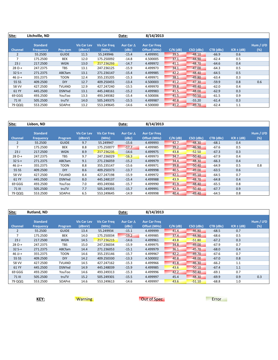| Site:          | Litchville, ND                      |               |                              |                              | Date:                     | 8/14/2013                           |            |           |           |                |                  |
|----------------|-------------------------------------|---------------|------------------------------|------------------------------|---------------------------|-------------------------------------|------------|-----------|-----------|----------------|------------------|
| <b>Channel</b> | <b>Standard</b><br><b>Frequency</b> | Program       | <b>Vis Car Lev</b><br>(dBmV) | <b>Vis Car Freg</b><br>(MHz) | Aur Car $\Delta$<br>(dBc) | <b>Aur Car Freg</b><br>Offset (MHz) | $C/N$ (dB) | CSO (dBc) | CTB (dBc) | $ICR \pm (dB)$ | Hum / LFD<br>(%) |
| $\overline{2}$ | 55.2500                             | <b>GUIDE</b>  | 11.5                         | 55.249946                    | $-15.4$                   | 4.499991                            | 39.5       | $-48.10$  | $-66.9$   | 0.6            |                  |
| 7              | 175.2500                            | <b>BEK</b>    | 12.0                         | 175.250092                   | $-14.8$                   | 4.500005                            | 37.1       | $-44.90$  | $-62.4$   | 0.5            |                  |
| 23J            | 217.2500                            | <b>WGN</b>    | 13.0                         | 217.236293                   | $-14.7$                   | 4.499972                            | 41.1       | $-48.70$  | $-64.6$   | 0.4            |                  |
| $28O - +$      | 247.2375                            | <b>TBS</b>    | 13.1                         | 247.236125                   | $-15.9$                   | 4.499973                            | 34.1       | $-47.00$  | $-64.3$   | 0.5            |                  |
| $32S+$         | 271.2375                            | ABCfam        | 13.1                         | 271.236147                   | $-15.4$                   | 4.499985                            | 42.2       | $-48.40$  | $-64.5$   | 0.5            |                  |
| 46 JJ-+        | 355.2375                            | <b>TOON</b>   | 12.4                         | 355.235205                   | $-15.3$                   | 4.499971                            | 38.1       | $-49.80$  | $-63.4$   | 0.3            |                  |
| 55 SS          | 409.2500                            | <b>DIY</b>    | 12.7                         | 409.250455                   | $-13.4$                   | 4.500003                            | 41.2       | $-47.30$  | $-59.9$   | 0.8            | 0.6              |
| 58 VV          | 427.2500                            | <b>TVLAND</b> | 12.9                         | 427.247240                   | $-15.5$                   | 4.499970                            | 39.8       | $-49.40$  | $-62.0$   | 0.4            |                  |
| 61 YY          | 445.2500                            | <b>DSNYxd</b> | 13.1                         | 445.248161                   | $-15.2$                   | 4.499983                            | 41.5       | $-48.00$  | $-62.9$   | 0.3            |                  |
| 69 GGG         | 493.2500                            | YouToo        | 13.3                         | 493.249382                   | $-15.4$                   | 4.500006                            | 41.5       | $-50.50$  | $-61.5$   | 0.9            |                  |
| <b>71 III</b>  | 505.2500                            | truTV         | 14.0                         | 505.249375                   | $-15.5$                   | 4.499987                            | 40.8       | $-55.20$  | $-61.4$   | 0.3            |                  |
| 79 QQQ         | 553.2500                            | SOAPnt        | 13.2                         | 553.249645                   | $-14.6$                   | 4.500000                            | 41.2       | $-49.70$  | $-62.4$   | 1.1            |                  |

| Site:          | Lisbon, ND                          |               |                              |                              | Date:                     | 8/14/2013                           |            |           |           |                |                  |
|----------------|-------------------------------------|---------------|------------------------------|------------------------------|---------------------------|-------------------------------------|------------|-----------|-----------|----------------|------------------|
| <b>Channel</b> | <b>Standard</b><br><b>Frequency</b> | Program       | <b>Vis Car Lev</b><br>(dBmV) | <b>Vis Car Freq</b><br>(MHz) | Aur Car $\Delta$<br>(dBc) | <b>Aur Car Freq</b><br>Offset (MHz) | $C/N$ (dB) | CSO (dBc) | CTB (dBc) | $ICR \pm (dB)$ | Hum / LFD<br>(%) |
| $\overline{2}$ | 55.2500                             | <b>GUIDE</b>  | 9.7                          | 55.249947                    | $-15.6$                   | 4.499993                            | 42.7       | $-48.30$  | $-68.1$   | 0.4            |                  |
| $\overline{7}$ | 175.2500                            | BEK           | 8.8                          | 175.250077                   | $-17.7$                   | 4.499985                            | 39.2       | $-46.90$  | $-67.6$   | 0.5            |                  |
| 23J            | 217.2500                            | <b>WGN</b>    | 8.9                          | 217.236235                   | $-14.6$                   | 4.499975                            | 43.8       | $-52.50$  | $-67.3$   | 0.3            |                  |
| $28O-+$        | 247.2375                            | <b>TBS</b>    | 9.7                          | 247.236029                   | $-16.3$                   | 4.499973                            | 34.7       | $-50.40$  | $-67.9$   | 0.4            |                  |
| $32S+$         | 271.2375                            | ABCfam        | 9.1                          | 271.236059                   | $-15.2$                   | 4.499979                            | 34.4       | $-48.30$  | $-66.3$   | 0.4            |                  |
| $46$ JJ-+      | 355.2375                            | <b>TOON</b>   | 8.8                          | 355.235147                   | $-15.6$                   | 4.499971                            | 39.8       | $-50.40$  | $-64.9$   | 0.5            | 0.8              |
| 55 SS          | 409.2500                            | <b>DIY</b>    | 8.6                          | 409.250373                   | $-13.7$                   | 4.499998                            | 40.5       | $-49.00$  | $-63.5$   | 0.6            |                  |
| 58 VV          | 427.2500                            | <b>TVLAND</b> | 8.4                          | 427.247198                   | $-15.9$                   | 4.499972                            | 42.1       | $-45.10$  | $-64.5$   | 0.7            |                  |
| 61 YY          | 445.2500                            | <b>DSNYxd</b> | 8.0                          | 445.248137                   | $-15.4$                   | 4.499988                            | 43.9       | $-48.70$  | $-64.8$   | 0.4            |                  |
| 69 GGG         | 493.2500                            | YouToo        | 7.0                          | 493.249366                   | $-15.7$                   | 4.499990                            | 41.9       | $-48.40$  | $-65.5$   | 0.8            |                  |
| <b>71 III</b>  | 505.2500                            | truTV         | 7.7                          | 505.249355                   | $-15.7$                   | 4.499991                            | 42.9       | $-50.40$  | $-67.7$   | 0.9            |                  |
| 79 QQQ         | 553.2500                            | SOAPnt        | 6.5                          | 553.249645                   | $-14.9$                   | 4.499998                            | 40.4       | $-49.40$  | $-64.5$   | 0.8            |                  |

| Site:          | Rutland, ND                         |               |                       |                              | Date:                     | 8/14/2013                           |            |           |           |                |                  |
|----------------|-------------------------------------|---------------|-----------------------|------------------------------|---------------------------|-------------------------------------|------------|-----------|-----------|----------------|------------------|
| <b>Channel</b> | <b>Standard</b><br><b>Frequency</b> | Program       | Vis Car Lev<br>(dBmV) | <b>Vis Car Freq</b><br>(MHz) | Aur Car $\Delta$<br>(dBc) | <b>Aur Car Freq</b><br>Offset (MHz) | $C/N$ (dB) | CSO (dBc) | CTB (dBc) | $ICR \pm (dB)$ | Hum / LFD<br>(%) |
| $\overline{2}$ | 55.2500                             | <b>GUIDE</b>  | 13.4                  | 55.249934                    | $-15.1$                   | 4.499999                            | 41.4       | $-46.80$  | $-68.5$   | 0.7            |                  |
|                | 175.2500                            | BEK           | 14.0                  | 175.250034                   | $-19.2$                   | 4.499985                            | 37.4       | $-44.90$  | $-68.6$   | 0.5            |                  |
| 23J            | 217.2500                            | <b>WGN</b>    | 14.5                  | 217.236215                   | $-14.6$                   | 4.499961                            | 43.8       | $-51.80$  | $-67.2$   | 0.3            |                  |
| $28O +$        | 247.2375                            | TBS.          | 15.0                  | 247.236034                   | $-15.9$                   | 4.499975                            | 34.8       | $-49.00$  | $-67.9$   | 0.7            |                  |
| $32S+$         | 271.2375                            | ABCfam        | 14.4                  | 271.236053                   | $-15.1$                   | 4.499979                            | 36.1       | $-45.70$  | $-68.0$   | 0.4            |                  |
| 46 JJ-+        | 355.2375                            | <b>TOON</b>   | 14.6                  | 355.235146                   | $-15.7$                   | 4.499967                            | 42.2       | $-49.70$  | $-67.6$   | 0.7            |                  |
| 55 SS          | 409.2500                            | <b>DIY</b>    | 14.2                  | 409.250330                   | $-13.3$                   | 4.500002                            | 40.8       | $-48.00$  | $-67.0$   | 0.8            |                  |
| 58 VV          | 427.2500                            | <b>TVLAND</b> | 14.5                  | 427.247162                   | $-15.3$                   | 4.499966                            | 41.8       | $-46.30$  | $-66.2$   | 1.1            |                  |
| 61 YY          | 445.2500                            | <b>DSNYxd</b> | 14.9                  | 445.248039                   | $-15.9$                   | 4.499985                            | 43.6       | $-50.10$  | $-67.4$   | 1.1            |                  |
| 69 GGG         | 493.2500                            | YouToo        | 14.6                  | 493.249313                   | $-15.3$                   | 4.499996                            | 42.2       | $-50.40$  | $-69.1$   | 0.7            |                  |
| 71 III         | 505.2500                            | truTV         | 15.2                  | 505.249301                   | $-15.5$                   | 4.499997                            | 45.4       | $-48.30$  | $-69.9$   | 0.9            | 0.3              |
| 79 QQQ         | 553.2500                            | SOAPnt        | 14.6                  | 553.249613                   | $-14.6$                   | 4.499997                            | 43.6       | $-51.10$  | $-68.8$   | 1.0            |                  |

**KEY:** Warning **Warning COUT OUT OUT SPEC**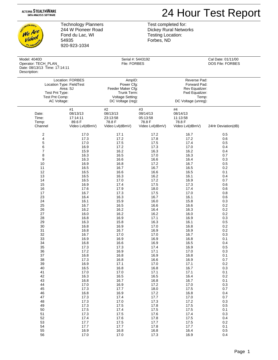## 24 Hour Test Report

**NOLDGL** We Are ve reo! **PLAN** 

Technology Planners 244 W Pioneer Road Fond du Lac, WI 54935 920-923-1034

Test completed for: Dickey Rural Networks Testing Location: Forbes, ND

| Model: 4040D<br>Operator: TECH_PLAN_<br>Date: 08/13/13 Time: 17:14:11<br>Description: |                              | File: FORBES                                                                                      | Serial #: 5443192          |                                                                                                  | Cal Date: 01/11/00<br>DOS File: FORBES |
|---------------------------------------------------------------------------------------|------------------------------|---------------------------------------------------------------------------------------------------|----------------------------|--------------------------------------------------------------------------------------------------|----------------------------------------|
| Location Type: FieldTest<br>Test Pnt Type:<br>Test Pnt Comp:<br>AC Voltage:           | Location: FORBES<br>Area: SJ | AmpID:<br>Power Cfg:<br>Feeder Maker Cfg:<br>Trunk Term:<br>Voltage Setting:<br>DC Voltage (reg): |                            | Reverse Pad:<br>Forward Pad:<br>Rev Equalizer:<br>Fwd Equalizer:<br>Temp:<br>DC Voltage (unreg): |                                        |
| Date:<br>Time:                                                                        | #1<br>08/13/13<br>17:14:11   | #2<br>08/13/13<br>23:13:58                                                                        | #3<br>08/14/13<br>05:13:58 | #4<br>08/14/13<br>11:13:58                                                                       |                                        |
| Temp:                                                                                 | 89.6 F                       | 78.8 F                                                                                            | 78.8 F                     | 78.8 F                                                                                           | 24Hr Deviation(dB)                     |
| Channel                                                                               | Video Lvl(dBmV)              | Video Lvl(dBmV)                                                                                   | Video Lvl(dBmV)            | Video Lvl(dBmV)                                                                                  |                                        |
| $\overline{c}$                                                                        | 17.0                         | 17.1                                                                                              | 17.2                       | 16.7                                                                                             | 0.5                                    |
| 4                                                                                     | 17.3                         | 17.2                                                                                              | 17.8                       | 17.2                                                                                             | 0.6                                    |
| 5                                                                                     | 17.0                         | 17.5                                                                                              | 17.5                       | 17.4                                                                                             | 0.5                                    |
| 6                                                                                     | 16.9                         | 17.2                                                                                              | 17.3                       | 17.0                                                                                             | 0.4                                    |
| $\overline{7}$                                                                        | 15.9                         | 16.2                                                                                              | 16.3                       | 16.2                                                                                             | 0.4                                    |
| 8                                                                                     | 16.3                         | 16.5                                                                                              | 17.0                       | 16.3                                                                                             | 0.7                                    |
| $\boldsymbol{9}$                                                                      | 16.3                         | 16.6                                                                                              | 16.6                       | 16.4                                                                                             | 0.3                                    |
| 10                                                                                    | 16.9                         | 16.8                                                                                              | 17.2                       | 16.7                                                                                             | 0.5                                    |
| 11                                                                                    | 16.5                         | 16.7                                                                                              | 16.7                       | 16.5                                                                                             | 0.2                                    |
| 12                                                                                    | 16.5                         | 16.6                                                                                              | 16.6                       | 16.5                                                                                             | 0.1                                    |
| 13                                                                                    | 16.5                         | 16.3                                                                                              | 16.2                       | 16.1                                                                                             | 0.4                                    |
| 14                                                                                    | 16.5                         | 17.0                                                                                              | 17.2                       | 16.9                                                                                             | 0.7                                    |
| 15                                                                                    | 16.9                         | 17.4                                                                                              | 17.5                       | 17.3                                                                                             | 0.6                                    |
| 16                                                                                    | 17.6                         | 17.9                                                                                              | 18.0                       | 17.4                                                                                             | 0.6                                    |
| 17                                                                                    | 16.7                         | 17.3                                                                                              | 17.5                       | 17.0                                                                                             | 0.8                                    |
| 23                                                                                    | 16.4                         | 16.3                                                                                              | 16.7                       | 16.1                                                                                             | 0.6                                    |
| 24                                                                                    | 16.1                         | 15.9                                                                                              | 16.0                       | 15.8                                                                                             | 0.3                                    |
| 25                                                                                    | 16.7                         | 16.5                                                                                              | 16.6                       | 16.6                                                                                             | 0.2                                    |
| 26                                                                                    | 16.2                         | 16.2                                                                                              | 16.4                       | 16.3                                                                                             | 0.2                                    |
| 27                                                                                    | 16.0                         | 16.2                                                                                              | 16.2                       | 16.0                                                                                             | 0.2                                    |
| 28                                                                                    | 16.8                         | 16.9                                                                                              | 17.1                       | 16.9                                                                                             | 0.3                                    |
| 29                                                                                    | 16.3                         | 15.8                                                                                              | 16.3                       | 16.1                                                                                             | 0.5                                    |
| 30                                                                                    | 16.8                         | 16.9                                                                                              | 17.0                       | 16.8                                                                                             | 0.2                                    |
| 31                                                                                    | 16.8                         | 16.7                                                                                              | 16.9                       | 16.9                                                                                             | 0.2                                    |
| 32                                                                                    | 16.7                         | 17.0                                                                                              | 17.0                       | 16.7                                                                                             | 0.3                                    |
| 33                                                                                    | 16.9                         | 16.9                                                                                              | 16.9                       | 16.8                                                                                             | 0.1                                    |
| 34                                                                                    | 16.8                         | 16.6                                                                                              | 16.9                       | 16.5                                                                                             | 0.4                                    |
| 35                                                                                    | 17.3                         | 17.3                                                                                              | 17.4                       | 16.9                                                                                             | 0.5                                    |
| 36                                                                                    | 17.2                         | 16.9                                                                                              | 17.1                       | 17.0                                                                                             | 0.3                                    |
| 37                                                                                    | 16.8                         | 16.8                                                                                              | 16.9                       | 16.8                                                                                             | 0.1                                    |
| 38                                                                                    | 17.3                         | 16.8                                                                                              | 16.6                       | 16.9                                                                                             | $0.7\,$                                |
| 39                                                                                    | 16.9                         | 17.1                                                                                              | 17.0                       | 17.1                                                                                             | $0.2\,$                                |
| 40                                                                                    | 16.5                         | 16.8                                                                                              | 16.8                       | 16.7                                                                                             | 0.3                                    |
| 41                                                                                    | 17.0                         | 17.0                                                                                              | 17.1                       | 17.1                                                                                             | 0.1                                    |
| 42                                                                                    | 16.3                         | 16.5                                                                                              | 16.5                       | 16.4                                                                                             | $0.2\,$                                |
| 43                                                                                    | 16.8                         | 16.7                                                                                              | 16.8                       | 16.7                                                                                             | 0.1                                    |
| 44                                                                                    | 17.0                         | 16.9                                                                                              | 17.2                       | 17.0                                                                                             | 0.3                                    |
| 45                                                                                    | 17.3                         | 17.7                                                                                              | 18.0                       | 17.5                                                                                             | 0.7                                    |
| 46                                                                                    | 16.8                         | 16.9                                                                                              | 17.2                       | 16.8                                                                                             | 0.4                                    |
| 47                                                                                    | 17.3                         | 17.4                                                                                              | 17.7                       | 17.0                                                                                             | 0.7                                    |
| 48                                                                                    | 17.3                         | 17.0                                                                                              | 17.3                       | 17.2                                                                                             | 0.3                                    |
| 49                                                                                    | 17.3                         | 17.5                                                                                              | 17.8                       | 17.5                                                                                             | 0.5                                    |
| 50                                                                                    | 17.5                         | 17.4                                                                                              | 17.5                       | 17.5                                                                                             | 0.1                                    |
| 51                                                                                    | 17.3                         | 17.5                                                                                              | 17.6                       | 17.4                                                                                             | 0.3                                    |
| 52                                                                                    | 17.4                         | 17.6                                                                                              | 17.8                       | 17.5                                                                                             | 0.4                                    |
| 53                                                                                    | 17.7                         | 17.5                                                                                              | 17.7                       | 17.5                                                                                             | $0.2\,$                                |
| 54                                                                                    | 17.7                         | 17.7                                                                                              | 17.8                       | 17.7                                                                                             | 0.1                                    |
| 55                                                                                    | 16.9                         | 16.8                                                                                              | 16.8                       | 16.4                                                                                             | $0.5\,$                                |

56 17.0 17.0 17.3 16.9 0.4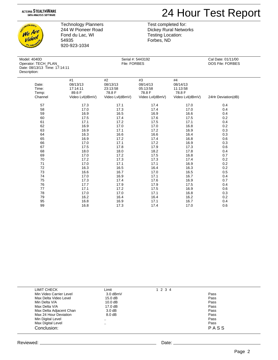

**NOLDGL** We Are video! **PLAN** 

Technology Planners 244 W Pioneer Road Fond du Lac, WI 54935 920-923-1034

 Model: 4040D Serial #: 5443192 Cal Date: 01/11/00 Op<br>Da De

Test completed for: Dickey Rural Networks Testing Location: Forbes, ND

| Operator: TECH_PLAN_<br>Date: 08/13/13 Time: 17:14:11<br>Description: |                 | File: FORBES    |                 | DOS File: FORBES |                    |
|-----------------------------------------------------------------------|-----------------|-----------------|-----------------|------------------|--------------------|
|                                                                       |                 |                 |                 |                  |                    |
|                                                                       | #1              | #2              | #3              | #4               |                    |
| Date:                                                                 | 08/13/13        | 08/13/13        | 08/14/13        | 08/14/13         |                    |
| Time:                                                                 | 17:14:11        | 23:13:58        | 05:13:58        | 11:13:58         |                    |
| Temp:                                                                 | 89.6 F          | 78.8 F          | 78.8 F          | 78.8 F           |                    |
| Channel                                                               | Video Lvl(dBmV) | Video Lvl(dBmV) | Video Lvl(dBmV) | Video Lvl(dBmV)  | 24Hr Deviation(dB) |
| 57                                                                    | 17.3            | 17.1            | 17.4            | 17.0             | 0.4                |
| 58                                                                    | 17.0            | 17.3            | 17.4            | 17.0             | 0.4                |
| 59                                                                    | 16.9            | 16.5            | 16.9            | 16.6             | 0.4                |
| 60                                                                    | 17.5            | 17.4            | 17.6            | 17.5             | 0.2                |
| 61                                                                    | 17.1            | 17.2            | 17.5            | 17.1             | 0.4                |
| 62                                                                    | 16.9            | 17.0            | 17.0            | 16.8             | 0.2                |
| 63                                                                    | 16.9            | 17.1            | 17.2            | 16.9             | 0.3                |
| 64                                                                    | 16.3            | 16.6            | 16.6            | 16.4             | 0.3                |
| 65                                                                    | 16.9            | 17.2            | 17.4            | 16.8             | 0.6                |
| 66                                                                    | 17.0            | 17.1            | 17.2            | 16.9             | 0.3                |
| 67                                                                    | 17.5            | 17.8            | 17.9            | 17.3             | 0.6                |
| 68                                                                    | 18.0            | 18.0            | 18.2            | 17.8             | 0.4                |
| 69                                                                    | 17.0            | 17.2            | 17.5            | 16.8             | 0.7                |
| 70                                                                    | 17.2            | 17.3            | 17.3            | 17.4             | 0.2                |
| 71                                                                    | 17.0            | 17.1            | 17.1            | 16.9             | 0.2                |
| 72                                                                    | 16.3            | 16.5            | 16.4            | 16.3             | 0.2                |
| 73                                                                    | 16.6            | 16.7            | 17.0            | 16.5             | 0.5                |
| 74                                                                    | 17.0            | 16.9            | 17.1            | 16.7             | 0.4                |
| 75                                                                    | 17.3            | 17.4            | 17.6            | 16.9             | 0.7                |
| 76                                                                    | 17.7            | 17.9            | 17.9            | 17.5             | 0.4                |
| 77                                                                    | 17.1            | 17.2            | 17.5            | 16.9             | 0.6                |
| 78                                                                    | 17.0            | 17.0            | 17.1            | 16.8             | 0.3                |
| 79                                                                    | 16.2            | 16.4            | 16.4            | 16.2             | 0.2                |
| 95                                                                    | 16.8            | 16.9            | 17.1            | 16.7             | 0.4                |
| 99                                                                    | 16.8            | 17.3            | 17.4            | 17.0             | 0.6                |

| <b>LIMIT CHECK</b>      | Limit             | 1 2 3 4 |      |  |
|-------------------------|-------------------|---------|------|--|
| Min Video Carrier Level | $3.0$ dBmV        |         | Pass |  |
| Max Delta Video Level   | 15.0 dB           |         | Pass |  |
| Min Delta V/A           | 10.0 dB           |         | Pass |  |
| Max Delta V/A           | $17.0 \text{ dB}$ |         | Pass |  |
| Max Delta Adjacent Chan | $3.0 \text{ dB}$  |         | Pass |  |
| Max 24 Hour Deviation   | 8.0 <sub>dB</sub> |         | Pass |  |
| Min Digital Level       | $\cdot$ .         |         | Pass |  |
| Max Digital Level       | $\sim$ $\sim$     |         | Pass |  |
| Conclusion:             |                   |         | PASS |  |
|                         |                   |         |      |  |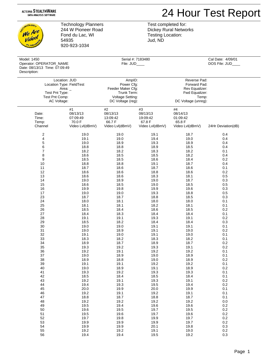## 24 Hour Test Report

**NOLOGY** We Are video! PLAN

Technology Planners 244 W Pioneer Road Fond du Lac, WI 54935 920-923-1034

Test completed for: Dickey Rural Networks Testing Location: Jud, ND

| Model: 1450<br>Operator: OPERATOR_NAME<br>Date: 08/13/13 Time: 07:09:49<br>Description: |                                                         | File: JUD                                                                                                | Serial #: 7183480                                       |                                                                                                  | Cal Date: 4/09/01<br>DOS File: JUD             |  |
|-----------------------------------------------------------------------------------------|---------------------------------------------------------|----------------------------------------------------------------------------------------------------------|---------------------------------------------------------|--------------------------------------------------------------------------------------------------|------------------------------------------------|--|
| Test Pnt Type:<br>Test Pnt Comp:<br>AC Voltage:                                         | Location: JUD<br>Location Type: FieldTest<br>Area: _    | AmpID:<br>Power Cfg:<br>Feeder Maker Cfg:<br>Trunk Term:<br><b>Voltage Setting:</b><br>DC Voltage (reg): |                                                         | Reverse Pad:<br>Forward Pad:<br>Rev Equalizer:<br>Fwd Equalizer:<br>Temp:<br>DC Voltage (unreg): |                                                |  |
| Date:<br>Time:<br>Temp:<br>Channel                                                      | #1<br>08/13/13<br>07:09:49<br>70.0 F<br>Video Lvl(dBmV) | #2<br>08/13/13<br>13:09:42<br>66.7F<br>Video Lvl(dBmV)                                                   | #3<br>08/13/13<br>19:09:42<br>67.8 F<br>Video Lvl(dBmV) | #4<br>08/14/13<br>01:09:42<br>65.8 F<br>Video Lvl(dBmV)                                          | 24Hr Deviation(dB)                             |  |
| 2                                                                                       | 19.0                                                    | 19.0                                                                                                     | 19.1                                                    | 18.7                                                                                             | 0.4                                            |  |
| 4                                                                                       | 19.1                                                    | 19.0                                                                                                     | 19.4                                                    | 19.0                                                                                             | 0.4                                            |  |
| 5                                                                                       | 19.0                                                    | 18.9                                                                                                     | 19.3                                                    | 18.9                                                                                             | 0.4                                            |  |
| 6                                                                                       | 18.8                                                    | 18.8                                                                                                     | 18.9                                                    | 18.5                                                                                             | 0.4                                            |  |
| 7                                                                                       | 18.2                                                    | 18.2                                                                                                     | 18.3                                                    | 18.2                                                                                             | 0.1                                            |  |
| 8                                                                                       | 18.6                                                    | 18.5                                                                                                     | 18.5                                                    | 18.2                                                                                             | 0.4                                            |  |
| 9                                                                                       | 18.5                                                    | 18.5                                                                                                     | 18.6                                                    | 18.4                                                                                             | 0.2                                            |  |
| 10                                                                                      | 18.8                                                    | 18.8                                                                                                     | 19.1                                                    | 18.7                                                                                             | 0.4                                            |  |
| 11                                                                                      | 18.7                                                    | 18.6                                                                                                     | 18.7                                                    | 18.6                                                                                             | 0.1                                            |  |
| 12                                                                                      | 18.6                                                    | 18.6                                                                                                     | 18.8                                                    | 18.6                                                                                             | 0.2                                            |  |
| 13                                                                                      | 18.6                                                    | 18.6                                                                                                     | 18.3                                                    | 18.1                                                                                             | 0.5                                            |  |
| 14                                                                                      | 19.0                                                    | 18.9                                                                                                     | 19.0                                                    | 18.7                                                                                             | 0.3                                            |  |
| 15                                                                                      | 18.6                                                    | 18.5                                                                                                     | 19.0                                                    | 18.5                                                                                             | 0.5                                            |  |
| 16                                                                                      | 19.9                                                    | 19.8                                                                                                     | 19.9                                                    | 19.6                                                                                             | 0.3                                            |  |
| 17                                                                                      | 19.0                                                    | 19.0                                                                                                     | 19.3                                                    | 18.8                                                                                             | 0.5                                            |  |
| 23                                                                                      | 18.7                                                    | 18.7                                                                                                     | 18.8                                                    | 18.5                                                                                             | 0.3                                            |  |
| 24                                                                                      | 18.0                                                    | 18.1                                                                                                     | 18.0                                                    | 18.0                                                                                             | 0.1                                            |  |
| 25                                                                                      | 18.1                                                    | 18.1                                                                                                     | 18.2                                                    | 18.1                                                                                             | 0.1                                            |  |
| 26                                                                                      | 18.5                                                    | 18.4                                                                                                     | 18.6                                                    | 18.5                                                                                             | 0.2                                            |  |
| 27                                                                                      | 18.4                                                    | 18.3                                                                                                     | 18.4                                                    | 18.4                                                                                             | 0.1                                            |  |
| 28                                                                                      | 19.1                                                    | 19.1                                                                                                     | 19.3                                                    | 19.1                                                                                             | 0.2                                            |  |
| 29                                                                                      | 18.5                                                    | 18.2                                                                                                     | 18.4                                                    | 18.4                                                                                             | 0.3                                            |  |
| 30                                                                                      | 19.0                                                    | 19.0                                                                                                     | 19.1                                                    | 19.1                                                                                             | 0.1                                            |  |
| 31                                                                                      | 19.0                                                    | 18.9                                                                                                     | 19.1                                                    | 19.0                                                                                             | 0.2                                            |  |
| 32                                                                                      | 19.1                                                    | 19.0                                                                                                     | 19.1                                                    | 19.0                                                                                             | 0.1                                            |  |
| 33                                                                                      | 18.3                                                    | 18.2                                                                                                     | 18.3                                                    | 18.2                                                                                             | 0.1                                            |  |
| 34                                                                                      | 18.9                                                    | 18.7                                                                                                     | 18.9                                                    | 18.7                                                                                             | 0.2                                            |  |
| 35                                                                                      | 19.3                                                    | 19.2                                                                                                     | 19.3                                                    | 19.1                                                                                             | 0.2                                            |  |
| 36                                                                                      | 19.2                                                    | 19.1                                                                                                     | 19.2                                                    | 19.2                                                                                             | 0.1                                            |  |
| 37                                                                                      | 19.0                                                    | 18.9                                                                                                     | 19.0                                                    | 18.9                                                                                             | 0.1                                            |  |
| 38                                                                                      | 18.9                                                    | 18.8                                                                                                     | 19.0                                                    | 18.9                                                                                             | 0.2                                            |  |
| 39                                                                                      | 19.1                                                    | 19.1                                                                                                     | 19.2                                                    | 19.2                                                                                             | 0.1                                            |  |
| 40<br>41<br>42<br>43<br>44<br>45                                                        | 19.0<br>19.3<br>18.5<br>19.2<br>19.4<br>20.0            | 18.9<br>19.2<br>18.4<br>19.1<br>19.3<br>19.9                                                             | 19.1<br>19.3<br>18.5<br>19.3<br>19.5                    | 18.9<br>19.3<br>18.4<br>19.1<br>19.4<br>19.9                                                     | $0.2\,$<br>0.1<br>0.1<br>$0.2\,$<br>0.2<br>0.1 |  |
| 46<br>47<br>48<br>49<br>50                                                              | 19.2<br>18.8<br>19.2<br>19.5<br>19.6                    | 19.1<br>18.7<br>19.2<br>19.4<br>19.5                                                                     | 20.0<br>19.2<br>18.8<br>19.2<br>19.6<br>19.7            | 19.1<br>18.7<br>19.2<br>19.6<br>19.5                                                             | 0.1<br>0.1<br>0.0<br>0.2<br>0.2                |  |
| 51                                                                                      | 19.5                                                    | 19.6                                                                                                     | 19.7                                                    | 19.6                                                                                             | 0.2                                            |  |
| 52                                                                                      | 19.7                                                    | 19.8                                                                                                     | 19.9                                                    | 19.7                                                                                             | 0.2                                            |  |
| 53                                                                                      | 19.9                                                    | 19.9                                                                                                     | 19.9                                                    | 19.7                                                                                             | $0.2\,$                                        |  |
| 54                                                                                      | 19.9                                                    | 19.9                                                                                                     | 20.1                                                    | 19.8                                                                                             | 0.3                                            |  |
| 55                                                                                      | 19.2                                                    | 19.2                                                                                                     | 19.1                                                    | 19.0                                                                                             | $0.2\,$                                        |  |
| 56                                                                                      | 19.4                                                    | 19.4                                                                                                     | 19.5                                                    | 19.2                                                                                             | 0.3                                            |  |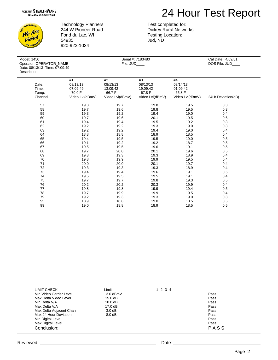

CHINOLOGL We Are video! **PLAN** 

Technology Planners 244 W Pioneer Road Fond du Lac, WI 54935 920-923-1034

 Model: 1450 Serial #: 7183480 Cal Date: 4/09/01 Operator: OPERATOR\_NAME D<sub>ate</sub> Des

Dickey Rural Networks Testing Location: Jud, ND

Test completed for:

| e: 08/13/13 Time: 07:09:49<br>cription: |                 |                 |                 |                 |                    |  |
|-----------------------------------------|-----------------|-----------------|-----------------|-----------------|--------------------|--|
|                                         | #1              | #2              | #3              | #4              |                    |  |
| Date:                                   | 08/13/13        | 08/13/13        | 08/13/13        | 08/14/13        |                    |  |
| Time:                                   | 07:09:49        | 13:09:42        | 19:09:42        | 01:09:42        |                    |  |
| Temp:                                   | 70.0 F          | 66.7F           | 67.8 F          | 65.8 F          |                    |  |
| Channel                                 | Video Lvl(dBmV) | Video Lvl(dBmV) | Video Lvl(dBmV) | Video Lvl(dBmV) | 24Hr Deviation(dB) |  |
| 57                                      | 19.8            | 19.7            | 19.8            | 19.5            | 0.3                |  |
| 58                                      | 19.7            | 19.6            | 19.8            | 19.5            | 0.3                |  |
| 59                                      | 19.3            | 19.2            | 19.4            | 19.0            | 0.4                |  |
| 60                                      | 19.7            | 19.6            | 20.1            | 19.5            | 0.6                |  |
| 61                                      | 19.4            | 19.4            | 19.5            | 19.2            | 0.3                |  |
| 62                                      | 19.2            | 19.2            | 19.3            | 19.0            | 0.3                |  |
| 63                                      | 19.2            | 19.2            | 19.4            | 19.0            | 0.4                |  |
| 64                                      | 18.8            | 18.8            | 18.9            | 18.5            | 0.4                |  |
| 65                                      | 19.4            | 19.5            | 19.5            | 19.0            | 0.5                |  |
| 66                                      | 19.1            | 19.2            | 19.2            | 18.7            | 0.5                |  |
| 67                                      | 19.5            | 19.5            | 19.6            | 19.1            | 0.5                |  |
| 68                                      | 19.7            | 20.0            | 20.1            | 19.6            | 0.5                |  |
| 69                                      | 19.3            | 19.3            | 19.3            | 18.9            | 0.4                |  |
| 70                                      | 19.8            | 19.9            | 19.9            | 19.5            | 0.4                |  |
| 71                                      | 20.0            | 20.0            | 20.1            | 19.7            | 0.4                |  |
| 72                                      | 19.3            | 19.3            | 19.3            | 18.9            | 0.4                |  |
| 73                                      | 19.4            | 19.4            | 19.6            | 19.1            | 0.5                |  |
| 74                                      | 19.5            | 19.5            | 19.5            | 19.1            | 0.4                |  |
| 75                                      | 19.7            | 19.7            | 19.8            | 19.3            | 0.5                |  |
| 76                                      | 20.2            | 20.2            | 20.3            | 19.9            | 0.4                |  |
| 77                                      | 19.8            | 19.8            | 19.9            | 19.4            | 0.5                |  |
| 78                                      | 19.7            | 19.9            | 19.9            | 19.5            | 0.4                |  |
| 79                                      | 19.2            | 19.3            | 19.3            | 19.0            | 0.3                |  |
| 95                                      | 18.9            | 18.8            | 19.0            | 18.5            | 0.5                |  |
| 99                                      | 19.0            | 18.8            | 18.9            | 18.5            | 0.5                |  |

| LIMIT CHECK             | Limit             | 1 2 3 4 |      |  |
|-------------------------|-------------------|---------|------|--|
| Min Video Carrier Level | 3.0 dBmV          |         | Pass |  |
| Max Delta Video Level   | 15.0 dB           |         | Pass |  |
| Min Delta V/A           | 10.0 dB           |         | Pass |  |
| Max Delta V/A           | $17.0 \text{ dB}$ |         | Pass |  |
| Max Delta Adjacent Chan | $3.0 \text{ dB}$  |         | Pass |  |
| Max 24 Hour Deviation   | 8.0 dB            |         | Pass |  |
| Min Digital Level       | $\cdot$ .         |         | Pass |  |
| Max Digital Level       | $\cdot$           |         | Pass |  |
| Conclusion:             |                   |         | PASS |  |
|                         |                   |         |      |  |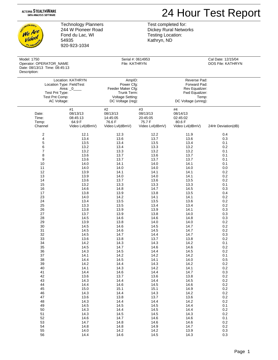### 24 Hour Test Report

CHNOLOGL We Are video! **PLAN** 

Technology Planners 244 W Pioneer Road Fond du Lac, WI 54935 920-923-1034

Test completed for: Dickey Rural Networks Testing Location: Kathryn, ND

| Model: 1750<br>Operator: OPERATOR_NAME        |                                     | File: KATHRYN                        | Serial #: 0614953                    |                                      | Cal Date: 12/15/04<br>DOS File: KATHRYN |
|-----------------------------------------------|-------------------------------------|--------------------------------------|--------------------------------------|--------------------------------------|-----------------------------------------|
| Date: 08/13/13 Time: 08:45:13<br>Description: |                                     |                                      |                                      |                                      |                                         |
| Location: KATHRYN                             |                                     | AmpID:                               |                                      | Reverse Pad:                         |                                         |
| Location Type: FieldTest                      |                                     | Power Cfg:                           |                                      | Forward Pad:                         |                                         |
| Area: $_0$                                    |                                     | Feeder Maker Cfg:                    |                                      | Rev Equalizer:                       |                                         |
| Test Pnt Type:                                |                                     | Trunk Term:                          |                                      | Fwd Equalizer:                       |                                         |
| Test Pnt Comp:                                |                                     | Voltage Setting:                     |                                      | Temp:                                |                                         |
| AC Voltage:                                   |                                     | DC Voltage (reg):                    |                                      | DC Voltage (unreg):                  |                                         |
| Date:<br>Time:<br>Temp:                       | #1<br>08/13/13<br>08:45:13<br>64.9F | #2<br>08/13/13<br>14:45:05<br>76.6 F | #3<br>08/13/13<br>20:45:05<br>75.7 F | #4<br>08/14/13<br>02:45:02<br>80.6 F |                                         |
| Channel                                       | Video Lvl(dBmV)                     | Video Lvl(dBmV)                      | Video Lvl(dBmV)                      | Video Lvl(dBmV)                      | 24Hr Deviation(dB)                      |
| 2                                             | 12.1                                | 12.3                                 | 12.2                                 | 11.9                                 | 0.4                                     |
| $\overline{\mathbf{4}}$                       | 13.4                                | 13.6                                 | 13.7                                 | 13.6                                 | 0.3                                     |
| $\mathbf 5$                                   | 13.5                                | 13.4                                 | 13.5                                 | 13.4                                 | 0.1                                     |
| 6                                             | 13.2                                | 13.4                                 | 13.3                                 | 13.2                                 | 0.2                                     |
| $\overline{7}$                                | 13.2                                | 13.3                                 | 13.2                                 | 13.2                                 | 0.1                                     |
| 8                                             | 13.6                                | 13.7                                 | 13.6                                 | 13.7                                 | 0.1                                     |
| 9                                             | 13.6                                | 13.7                                 | 13.7                                 | 13.7                                 | 0.1                                     |
| 10                                            | 14.0                                | 14.1                                 | 14.0                                 | 14.1                                 | 0.1                                     |
| 11                                            | 14.0                                | 14.0                                 | 14.0                                 | 14.0                                 | 0.0                                     |
| 12                                            | 13.9                                | 14.1                                 | 14.1                                 | 14.1                                 | 0.2                                     |
| 13                                            | 13.9                                | 14.0                                 | 14.0                                 | 14.1                                 | 0.2                                     |
| 14                                            | 13.6                                | 13.7                                 | 13.6                                 | 13.5                                 | 0.2                                     |
| 15                                            | 13.2                                | 13.3                                 | 13.3                                 | 13.3                                 | 0.1                                     |
| 16                                            | 14.6                                | 14.8                                 | 14.7                                 | 14.5                                 | 0.3                                     |
| 17                                            | 13.8                                | 13.9                                 | 13.8                                 | 13.5                                 | 0.4                                     |
| 23                                            | 14.0                                | 14.2                                 | 14.1                                 | 14.1                                 | 0.2                                     |
| 24                                            | 13.4                                | 13.5                                 | 13.5                                 | 13.6                                 | 0.2                                     |
| 25                                            | 13.3                                | 13.5                                 | 13.4                                 | 13.4                                 | 0.2                                     |
| 26                                            | 13.8                                | 13.9                                 | 13.9                                 | 14.1                                 | 0.3                                     |
| 27                                            | 13.7                                | 13.9                                 | 13.8                                 | 14.0                                 | 0.3                                     |
| 28                                            | 14.5                                | 14.6                                 | 14.6                                 | 14.8                                 | 0.3                                     |
| 29                                            | 13.9                                | 13.8                                 | 14.0                                 | 14.0                                 | 0.2                                     |
| 30                                            | 14.5                                | 14.6                                 | 14.5                                 | 14.7                                 | 0.2                                     |
| 31                                            | 14.5                                | 14.6                                 | 14.5                                 | 14.7                                 | 0.2                                     |
| 32                                            | 14.5                                | 14.7                                 | 14.4                                 | 14.7                                 | 0.3                                     |
| 33                                            | 13.6                                | 13.8                                 | 13.7                                 | 13.8                                 | 0.2                                     |
| 34                                            | 14.2                                | 14.3                                 | 14.3                                 | 14.2                                 | 0.1                                     |
| 35                                            | 14.5                                | 14.7                                 | 14.6                                 | 14.6                                 | 0.2                                     |
| 36                                            | 14.3                                | 14.5                                 | 14.4                                 | 14.5                                 | 0.2                                     |
| 37                                            | 14.1                                | 14.2                                 | 14.2                                 | 14.2                                 | 0.1                                     |
| 38                                            | 14.4                                | 14.5                                 | 14.1                                 | 14.0                                 | $0.5\,$                                 |
| 39                                            | 14.2                                | 14.4                                 | 14.3                                 | 14.2                                 | $0.2\,$                                 |
| 40                                            | 14.1                                | 14.3                                 | 14.2                                 | 14.1                                 | 0.2                                     |
| 41                                            | 14.4                                | 14.6                                 | 14.4                                 | 14.7                                 | $0.3\,$                                 |
| 42                                            | 13.6                                | 13.7                                 | 13.6                                 | 13.8                                 | 0.2                                     |
| 43                                            | 14.3                                | 14.4                                 | 14.4                                 | 14.5                                 | $0.2\,$                                 |
| 44                                            | 14.4                                | 14.6                                 | 14.5                                 | 14.6                                 | 0.2                                     |
| 45                                            | 15.0                                | 15.1                                 | 15.1                                 | 14.9                                 | $0.2\,$                                 |
| 46                                            | 14.3                                | 14.4                                 | 14.3                                 | 14.2                                 | $0.2\,$                                 |
| 47                                            | 13.6                                | 13.8                                 | 13.7                                 | 13.6                                 | $0.2\,$                                 |
| 48                                            | 14.3                                | 14.4                                 | 14.4                                 | 14.2                                 | 0.2                                     |
| 49                                            | 14.5                                | 14.5                                 | 14.5                                 | 14.4                                 | 0.1                                     |
| 50                                            | 14.3                                | 14.4                                 | 14.5                                 | 14.4                                 | 0.2                                     |
| 51                                            | 14.3                                | 14.5                                 | 14.5                                 | 14.3                                 | 0.2                                     |
| 52                                            | 14.6                                | 14.7                                 | 14.6                                 | 14.6                                 | 0.1                                     |
| 53                                            | 14.7                                | 14.8                                 | 14.6                                 | 14.6                                 | 0.2                                     |
| 54                                            | 14.8                                | 14.8                                 | 14.9                                 | 14.7                                 | 0.2                                     |

55 14.0 14.2 14.2 13.9 0.3 56 14.4 14.6 14.5 14.3 0.3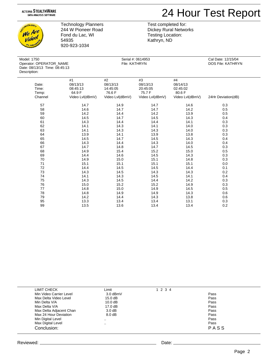### 24 Hour Test Report



Technology Planners 244 W Pioneer Road Fond du Lac, WI 54935 920-923-1034

 Model: 1750 Serial #: 0614953 Cal Date: 12/15/04 Operator: OPERATOR\_NAME Date: 08/ Descripti

Kathryn, ND

Test completed for: Dickey Rural Networks Testing Location:

| /13/13 Time: 08:45:13<br>on: |                 |                 |                 |                 |                    |
|------------------------------|-----------------|-----------------|-----------------|-----------------|--------------------|
|                              | #1              | #2              | #3              | #4              |                    |
| Date:                        | 08/13/13        | 08/13/13        | 08/13/13        | 08/14/13        |                    |
| Time:                        | 08:45:13        | 14:45:05        | 20:45:05        | 02:45:02        |                    |
| Temp:                        | 64.9 F          | 76.6 F          | 75.7 F          | 80.6 F          |                    |
| Channel                      | Video Lvl(dBmV) | Video Lvl(dBmV) | Video Lvl(dBmV) | Video Lvl(dBmV) | 24Hr Deviation(dB) |
| 57                           | 14.7            | 14.9            | 14.7            | 14.6            | 0.3                |
| 58                           | 14.6            | 14.7            | 14.7            | 14.2            | 0.5                |
| 59                           | 14.2            | 14.4            | 14.2            | 13.9            | 0.5                |
| 60                           | 14.5            | 14.7            | 14.5            | 14.3            | 0.4                |
| 61                           | 14.3            | 14.4            | 14.4            | 14.1            | 0.3                |
| 62                           | 14.1            | 14.3            | 14.1            | 14.0            | 0.3                |
| 63                           | 14.1            | 14.3            | 14.3            | 14.0            | 0.3                |
| 64                           | 13.9            | 14.1            | 13.9            | 13.8            | 0.3                |
| 65                           | 14.5            | 14.7            | 14.5            | 14.3            | 0.4                |
| 66                           | 14.3            | 14.4            | 14.3            | 14.0            | 0.4                |
| 67                           | 14.7            | 14.8            | 14.7            | 14.5            | 0.3                |
| 68                           | 14.9            | 15.4            | 15.2            | 15.0            | 0.5                |
| 69                           | 14.4            | 14.6            | 14.5            | 14.3            | 0.3                |
| 70                           | 14.9            | 15.0            | 15.1            | 14.8            | 0.3                |
| 71                           | 15.1            | 15.1            | 15.1            | 15.1            | 0.0                |
| 72                           | 14.4            | 14.5            | 14.5            | 14.4            | 0.1                |
| 73                           | 14.3            | 14.5            | 14.3            | 14.3            | 0.2                |
| 74                           | 14.1            | 14.3            | 14.5            | 14.1            | 0.4                |
| 75                           | 14.3            | 14.5            | 14.4            | 14.2            | 0.3                |
| 76                           | 15.0            | 15.2            | 15.2            | 14.9            | 0.3                |
| 77                           | 14.8            | 15.0            | 14.9            | 14.5            | 0.5                |
| 78                           | 14.8            | 14.9            | 14.9            | 14.3            | 0.6                |
| 79                           | 14.2            | 14.4            | 14.3            | 13.8            | 0.6                |
| 95                           | 13.3            | 13.4            | 13.4            | 13.1            | 0.3                |
| 99                           | 13.5            | 13.6            | 13.4            | 13.4            | 0.2                |

| LIMIT CHECK             | Limit             | 1 2 3 4 |      |  |
|-------------------------|-------------------|---------|------|--|
| Min Video Carrier Level | 3.0 dBmV          |         | Pass |  |
| Max Delta Video Level   | 15.0 dB           |         | Pass |  |
| Min Delta V/A           | 10.0 dB           |         | Pass |  |
| Max Delta V/A           | 17.0 dB           |         | Pass |  |
| Max Delta Adjacent Chan | $3.0 \text{ dB}$  |         | Pass |  |
| Max 24 Hour Deviation   | 8.0 <sub>dB</sub> |         | Pass |  |
| Min Digital Level       | $\sim$            |         | Pass |  |
| Max Digital Level       | $\cdots$          |         | Pass |  |
| Conclusion:             |                   |         | PASS |  |
|                         |                   |         |      |  |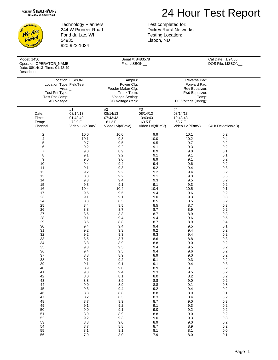## 24 Hour Test Report

**NOLDGL** We Are ve reo! **PLAN** 

Technology Planners 244 W Pioneer Road Fond du Lac, WI 54935 920-923-1034

Test completed for: Dickey Rural Networks Testing Location: Lisbon, ND

| Model: 1450<br>Operator: OPERATOR_NAME<br>Date: 08/14/13 Time: 01:43:49<br>Description: |                                      | File: LISBON_                       | Serial #: 8483578                    |                                      | Cal Date: 1/24/00<br>DOS File: LISBON |
|-----------------------------------------------------------------------------------------|--------------------------------------|-------------------------------------|--------------------------------------|--------------------------------------|---------------------------------------|
| Location: LISBON                                                                        |                                      | AmpID:                              |                                      | Reverse Pad:                         |                                       |
| Location Type: FieldTest                                                                |                                      | Power Cfg:                          |                                      | Forward Pad:                         |                                       |
| Area: $\_$                                                                              |                                      | Feeder Maker Cfg:                   |                                      | Rev Equalizer:                       |                                       |
| Test Pnt Type:                                                                          |                                      | Trunk Term:                         |                                      | Fwd Equalizer:                       |                                       |
| Test Pnt Comp:                                                                          |                                      | Voltage Setting:                    |                                      | Temp:                                |                                       |
| AC Voltage:                                                                             |                                      | DC Voltage (reg):                   |                                      | DC Voltage (unreg):                  |                                       |
| Date:<br>Time:<br>Temp:                                                                 | #1<br>08/14/13<br>01:43:49<br>72.0 F | #2<br>08/14/13<br>07:43:43<br>61.2F | #3<br>08/14/13<br>13:43:43<br>63.5 F | #4<br>08/14/13<br>19:43:43<br>63.7 F |                                       |
| Channel                                                                                 | Video Lvl(dBmV)                      | Video Lvl(dBmV)                     | Video Lvl(dBmV)                      | Video Lvl(dBmV)                      | 24Hr Deviation(dB)                    |
| 2                                                                                       | 10.0                                 | 10.0                                | 9.9                                  | 10.1                                 | 0.2                                   |
| 4                                                                                       | 10.1                                 | 9.8                                 | 10.0                                 | 10.2                                 | 0.4                                   |
| 5                                                                                       | 9.7                                  | 9.5                                 | 9.5                                  | 9.7                                  | 0.2                                   |
| 6                                                                                       | 9.2                                  | 9.2                                 | 9.1                                  | 9.3                                  | 0.2                                   |
| 7                                                                                       | 9.0                                  | 8.9                                 | 8.9                                  | 9.0                                  | 0.1                                   |
| 8                                                                                       | 9.1                                  | 9.2                                 | 9.1                                  | 9.1                                  | 0.1                                   |
| 9                                                                                       | 9.0                                  | 9.0                                 | 8.9                                  | 9.1                                  | 0.2                                   |
| 10                                                                                      | 9.4                                  | 9.4                                 | 9.4                                  | 9.6                                  | 0.2                                   |
| 11                                                                                      | 9.1                                  | 9.3                                 | 9.2                                  | 9.4                                  | 0.3                                   |
| 12                                                                                      | 9.2                                  | 9.2                                 | 9.2                                  | 9.4                                  | 0.2                                   |
| 13                                                                                      | 8.8                                  | 9.2                                 | 9.1                                  | 9.3                                  | 0.5                                   |
| 14                                                                                      | 9.3                                  | 9.4                                 | 9.3                                  | 9.5                                  | 0.2                                   |
| 15                                                                                      | 9.3                                  | 9.1                                 | 9.1                                  | 9.3                                  | 0.2                                   |
| 16                                                                                      | 10.4                                 | 10.4                                | 10.4                                 | 10.5                                 | 0.1                                   |
| 17                                                                                      | 9.6                                  | 9.5                                 | 9.4                                  | 9.6                                  | 0.2                                   |
| 23                                                                                      | 9.1                                  | 9.1                                 | 9.0                                  | 9.3                                  | 0.3                                   |
| 24                                                                                      | 8.3                                  | 8.5                                 | 8.5                                  | 8.5                                  | 0.2                                   |
| 25                                                                                      | 8.4                                  | 8.5                                 | 8.5                                  | 8.7                                  | 0.3                                   |
| 26                                                                                      | 8.8                                  | 8.7                                 | 8.7                                  | 8.9                                  | 0.2                                   |
| 27                                                                                      | 8.6                                  | 8.8                                 | 8.7                                  | 8.9                                  | 0.3                                   |
| 28                                                                                      | 9.1                                  | 9.4                                 | 9.4                                  | 9.6                                  | 0.5                                   |
| 29                                                                                      | 8.5                                  | 8.8                                 | 8.7                                  | 8.9                                  | 0.4                                   |
| 30                                                                                      | 9.4                                  | 9.4                                 | 9.4                                  | 9.5                                  | 0.1                                   |
| 31                                                                                      | 9.2                                  | 9.3                                 | 9.2                                  | 9.4                                  | 0.2                                   |
| 32                                                                                      | 9.2                                  | 9.3                                 | 9.3                                  | 9.4                                  | 0.2                                   |
| 33                                                                                      | 8.5                                  | 8.7                                 | 8.6                                  | 8.8                                  | 0.3                                   |
| 34                                                                                      | 8.8                                  | 8.9                                 | 8.8                                  | 9.0                                  | 0.2                                   |
| 35                                                                                      | 9.3                                  | 9.5                                 | 9.4                                  | 9.5                                  | 0.2                                   |
| 36                                                                                      | 9.4                                  | 9.5                                 | 9.4                                  | 9.6                                  | 0.2                                   |
| 37                                                                                      | 8.8                                  | 8.9                                 | 8.9                                  | 9.0                                  | 0.2                                   |
| 38                                                                                      | 9.1                                  | 9.2                                 | 9.1                                  | 9.3                                  | $0.2\,$                               |
| 39                                                                                      | 9.1                                  | 9.1                                 | 9.1                                  | 9.4                                  | 0.3                                   |
| 40                                                                                      | 8.9                                  | 9.0                                 | 8.9                                  | 9.1                                  | $0.2\,$                               |
| 41                                                                                      | 9.3                                  | 9.4                                 | 9.3                                  | $9.5\,$                              | $0.2\,$                               |
| 42                                                                                      | 8.0                                  | 8.1                                 | 8.0                                  | $8.2\,$                              | $0.2\,$                               |
| 43                                                                                      | 8.8                                  | 8.9                                 | 8.8                                  | $9.0\,$                              | 0.2                                   |
| 44                                                                                      | 9.0                                  | $8.9\,$                             | 8.8                                  | 9.1                                  | 0.3                                   |
| 45                                                                                      | 9.3                                  | 9.4                                 | 9.2                                  | 9.4                                  | 0.2                                   |
| 46                                                                                      | $8.8\,$                              | $8.8\,$                             | 8.8                                  | 8.9                                  | 0.1                                   |
| $47\,$                                                                                  | $8.2\,$                              | 8.3                                 | 8.3                                  | 8.4                                  | 0.2                                   |
| 48                                                                                      | 8.7                                  | $8.9\,$                             | 8.7                                  | 9.0                                  | 0.3                                   |
| 49                                                                                      | 9.1                                  | 9.2                                 | 9.1                                  | 9.3                                  | 0.2                                   |
| 50                                                                                      | 9.0                                  | 9.1                                 | $9.0\,$                              | 9.2                                  | 0.2                                   |
| 51                                                                                      | 8.9                                  | 8.9                                 | 8.8                                  | $9.0\,$                              | 0.2                                   |
| 52                                                                                      | 9.2                                  | 9.3                                 | 9.0                                  | 9.3                                  | 0.3                                   |
| 53                                                                                      | 8.8                                  | $9.0\,$                             | 8.9                                  | $9.0\,$                              | $0.2\,$                               |
| 54                                                                                      | 8.7                                  | $8.8\,$                             | 8.7                                  | 8.9                                  | $0.2\,$                               |
| 55                                                                                      | 8.1                                  | 8.1                                 | 8.1                                  | 8.1                                  | 0.0                                   |

56 7.9 8.0 7.9 8.0 0.1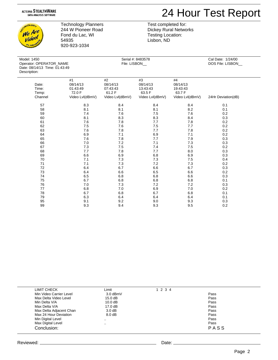### 24 Hour Test Report

CHINOLOGL We Are video! **PLAN** 

Technology Planners 244 W Pioneer Road Fond du Lac, WI 54935 920-923-1034

| Model: 1450                   |
|-------------------------------|
| Operator: OPERATOR NAME       |
| Date: 08/14/13 Time: 01:43:49 |
| Description:                  |

Test completed for: Dickey Rural Networks Testing Location: Lisbon, ND

Serial #: 8483578 Cal Date: 1/24/00<br>
File: LISBON Cal DOS File: LISBON DOS File: LISBON\_

| Date:   | #1<br>08/14/13  | #2<br>08/14/13  | #3<br>08/14/13  | #4<br>08/14/13  |                    |  |
|---------|-----------------|-----------------|-----------------|-----------------|--------------------|--|
| Time:   | 01:43:49        | 07:43:43        | 13:43:43        | 19:43:43        |                    |  |
| Temp:   | 72.0 F          | 61.2F           | 63.5 F          | 63.7 F          |                    |  |
| Channel | Video Lvl(dBmV) | Video Lvl(dBmV) | Video Lvl(dBmV) | Video Lvl(dBmV) | 24Hr Deviation(dB) |  |
|         |                 |                 |                 |                 |                    |  |
| 57      | 8.3             | 8.4             | 8.4             | 8.4             | 0.1                |  |
| 58      | 8.1             | 8.1             | 8.1             | 8.2             | 0.1                |  |
| 59      | 7.4             | 7.6             | $7.5$           | 7.6             | 0.2                |  |
| 60      | 8.1             | 8.3             | 8.3             | 8.4             | 0.3                |  |
| 61      | 7.6             | 7.8             | 7.7             | 7.8             | 0.2                |  |
| 62      | $7.5\,$         | 7.6             | $7.5\,$         | 7.7             | 0.2                |  |
| 63      | 7.6             | 7.8             | 7.7             | 7.8             | 0.2                |  |
| 64      | 6.9             | 7.1             | 6.9             | 7.1             | 0.2                |  |
| 65      | 7.6             | $7.8$           | 7.7             | 7.9             | 0.3                |  |
| 66      | 7.0             | 7.2             | 7.1             | 7.3             | 0.3                |  |
| 67      | 7.3             | $7.5\,$         | 7.4             | $7.5\,$         | 0.2                |  |
| 68      | 7.7             | 7.8             | 7.7             | 8.0             | 0.3                |  |
| 69      | 6.6             | 6.9             | 6.8             | 6.9             | 0.3                |  |
| 70      | 7.1             | 7.3             | 7.3             | $7.5\,$         | 0.4                |  |
| 71      | 7.1             | 7.3             | 7.2             | 7.3             | 0.2                |  |
| 72      | 6.4             | 6.7             | 6.6             | 6.7             | 0.3                |  |
| 73      | 6.4             | 6.6             | 6.5             | $6.6\,$         | 0.2                |  |
| 74      | 6.5             | 6.8             | 6.8             | $6.6\,$         | 0.3                |  |
| 75      | 6.7             | 6.8             | 6.8             | 6.8             | 0.1                |  |
| 76      | 7.0             | $7.3$           | 7.2             | 7.2             | 0.3                |  |
| 77      | 6.8             | $7.0$           | 6.9             | 7.0             | 0.2                |  |
| 78      | 6.7             | 6.8             | 6.7             | 6.8             | 0.1                |  |
| 79      | 6.3             | 6.4             | 6.4             | 6.4             | 0.1                |  |
| 95      | 9.1             | 9.2             | 9.0             | 9.3             | 0.3                |  |
| 99      | 9.3             | 9.4             | 9.3             | 9.5             | 0.2                |  |

| LIMIT CHECK             | Limit             | 1 2 3 4 |      |  |
|-------------------------|-------------------|---------|------|--|
| Min Video Carrier Level | 3.0 dBmV          |         | Pass |  |
| Max Delta Video Level   | 15.0 dB           |         | Pass |  |
| Min Delta V/A           | 10.0 dB           |         | Pass |  |
| Max Delta V/A           | $17.0 \text{ dB}$ |         | Pass |  |
| Max Delta Adjacent Chan | $3.0 \text{ dB}$  |         | Pass |  |
| Max 24 Hour Deviation   | $8.0 \text{ dB}$  |         | Pass |  |
| Min Digital Level       | $\cdot$ .         |         | Pass |  |
| Max Digital Level       | $\cdot$           |         | Pass |  |
| Conclusion:             |                   |         | PASS |  |
|                         |                   |         |      |  |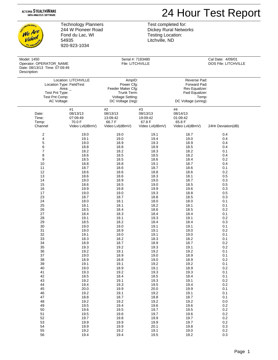### 24 Hour Test Report

CHNOLOGL We Are ve reo! **PLAN** 

Technology Planners 244 W Pioneer Road Fond du Lac, WI 54935 920-923-1034

Test completed for: Dickey Rural Networks Testing Location: Litchville, ND

| Model: 1450<br>Operator: OPERATOR_NAME<br>Date: 08/13/13 Time: 07:09:49<br>Description: |                                                         |                                                        | Serial #: 7183480<br>File: LITCHVILLE                   |                                                         | Cal Date: 4/09/01<br>DOS File: LITCHVILLE |
|-----------------------------------------------------------------------------------------|---------------------------------------------------------|--------------------------------------------------------|---------------------------------------------------------|---------------------------------------------------------|-------------------------------------------|
| Location: LITCHVILLE                                                                    |                                                         | AmpID:                                                 |                                                         | Reverse Pad:                                            |                                           |
| Location Type: FieldTest                                                                |                                                         | Power Cfg:                                             |                                                         | Forward Pad:                                            |                                           |
| Area: _                                                                                 |                                                         | Feeder Maker Cfg:                                      |                                                         | Rev Equalizer:                                          |                                           |
| Test Pnt Type:                                                                          |                                                         | Trunk Term:                                            |                                                         | Fwd Equalizer:                                          |                                           |
| Test Pnt Comp:                                                                          |                                                         | <b>Voltage Setting:</b>                                |                                                         | Temp:                                                   |                                           |
| AC Voltage:                                                                             |                                                         | DC Voltage (reg):                                      |                                                         | DC Voltage (unreg):                                     |                                           |
| Date:<br>Time:<br>Temp:<br>Channel                                                      | #1<br>08/13/13<br>07:09:49<br>70.0 F<br>Video Lvl(dBmV) | #2<br>08/13/13<br>13:09:42<br>66.7F<br>Video Lvl(dBmV) | #3<br>08/13/13<br>19:09:42<br>67.8 F<br>Video Lvl(dBmV) | #4<br>08/14/13<br>01:09:42<br>65.8 F<br>Video Lvl(dBmV) | 24Hr Deviation(dB)                        |
| 2                                                                                       | 19.0                                                    | 19.0                                                   | 19.1                                                    | 18.7                                                    | 0.4                                       |
| 4                                                                                       | 19.1                                                    | 19.0                                                   | 19.4                                                    | 19.0                                                    | 0.4                                       |
| 5                                                                                       | 19.0                                                    | 18.9                                                   | 19.3                                                    | 18.9                                                    | 0.4                                       |
| 6                                                                                       | 18.8                                                    | 18.8                                                   | 18.9                                                    | 18.5                                                    | 0.4                                       |
| 7                                                                                       | 18.2                                                    | 18.2                                                   | 18.3                                                    | 18.2                                                    | 0.1                                       |
| 8                                                                                       | 18.6                                                    | 18.5                                                   | 18.5                                                    | 18.2                                                    | 0.4                                       |
| $\boldsymbol{9}$                                                                        | 18.5                                                    | 18.5                                                   | 18.6                                                    | 18.4                                                    | 0.2                                       |
| 10                                                                                      | 18.8                                                    | 18.8                                                   | 19.1                                                    | 18.7                                                    | 0.4                                       |
| 11                                                                                      | 18.7                                                    | 18.6                                                   | 18.7                                                    | 18.6                                                    | 0.1                                       |
| 12                                                                                      | 18.6                                                    | 18.6                                                   | 18.8                                                    | 18.6                                                    | 0.2                                       |
| 13                                                                                      | 18.6                                                    | 18.6                                                   | 18.3                                                    | 18.1                                                    | 0.5                                       |
| 14                                                                                      | 19.0                                                    | 18.9                                                   | 19.0                                                    | 18.7                                                    | 0.3                                       |
| 15                                                                                      | 18.6                                                    | 18.5                                                   | 19.0                                                    | 18.5                                                    | 0.5                                       |
| 16                                                                                      | 19.9                                                    | 19.8                                                   | 19.9                                                    | 19.6                                                    | 0.3                                       |
| 17                                                                                      | 19.0                                                    | 19.0                                                   | 19.3                                                    | 18.8                                                    | 0.5                                       |
| 23                                                                                      | 18.7                                                    | 18.7                                                   | 18.8                                                    | 18.5                                                    | 0.3                                       |
| 24                                                                                      | 18.0                                                    | 18.1                                                   | 18.0                                                    | 18.0                                                    | 0.1                                       |
| 25                                                                                      | 18.1                                                    | 18.1                                                   | 18.2                                                    | 18.1                                                    | 0.1                                       |
| 26                                                                                      | 18.5                                                    | 18.4                                                   | 18.6                                                    | 18.5                                                    | 0.2                                       |
| 27                                                                                      | 18.4                                                    | 18.3                                                   | 18.4                                                    | 18.4                                                    | 0.1                                       |
| 28                                                                                      | 19.1                                                    | 19.1                                                   | 19.3                                                    | 19.1                                                    | 0.2                                       |
| 29                                                                                      | 18.5                                                    | 18.2                                                   | 18.4                                                    | 18.4                                                    | 0.3                                       |
| 30                                                                                      | 19.0                                                    | 19.0                                                   | 19.1                                                    | 19.1                                                    | 0.1                                       |
| 31                                                                                      | 19.0                                                    | 18.9                                                   | 19.1                                                    | 19.0                                                    | 0.2                                       |
| 32                                                                                      | 19.1                                                    | 19.0                                                   | 19.1                                                    | 19.0                                                    | 0.1                                       |
| 33                                                                                      | 18.3                                                    | 18.2                                                   | 18.3                                                    | 18.2                                                    | 0.1                                       |
| 34                                                                                      | 18.9                                                    | 18.7                                                   | 18.9                                                    | 18.7                                                    | 0.2                                       |
| 35                                                                                      | 19.3                                                    | 19.2                                                   | 19.3                                                    | 19.1                                                    | 0.2                                       |
| 36                                                                                      | 19.2                                                    | 19.1                                                   | 19.2                                                    | 19.2                                                    | 0.1                                       |
| 37                                                                                      | 19.0                                                    | 18.9                                                   | 19.0                                                    | 18.9                                                    | 0.1                                       |
| 38                                                                                      | 18.9                                                    | 18.8                                                   | 19.0                                                    | 18.9                                                    | $0.2\,$                                   |
| 39                                                                                      | 19.1                                                    | 19.1                                                   | 19.2                                                    | 19.2                                                    | 0.1                                       |
| 40                                                                                      | 19.0                                                    | 18.9                                                   | 19.1                                                    | 18.9                                                    | 0.2                                       |
| 41                                                                                      | 19.3                                                    | 19.2                                                   | 19.3                                                    | 19.3                                                    | 0.1                                       |
| 42                                                                                      | 18.5                                                    | 18.4                                                   | 18.5                                                    | 18.4                                                    | 0.1                                       |
| 43                                                                                      | 19.2                                                    | 19.1                                                   | 19.3                                                    | 19.1                                                    | $0.2\,$                                   |
| 44                                                                                      | 19.4                                                    | 19.3                                                   | 19.5                                                    | 19.4                                                    | 0.2                                       |
| 45                                                                                      | $20.0\,$                                                | 19.9                                                   | 20.0                                                    | 19.9                                                    | 0.1                                       |
| 46                                                                                      | 19.2                                                    | 19.1                                                   | 19.2                                                    | 19.1                                                    | 0.1                                       |
| 47                                                                                      | 18.8                                                    | 18.7                                                   | 18.8                                                    | 18.7                                                    | 0.1                                       |
| 48                                                                                      | 19.2                                                    | 19.2                                                   | 19.2                                                    | 19.2                                                    | 0.0                                       |
| 49                                                                                      | 19.5                                                    | 19.4                                                   | 19.6                                                    | 19.6                                                    | 0.2                                       |
| 50                                                                                      | 19.6                                                    | 19.5                                                   | 19.7                                                    | 19.5                                                    | $0.2\,$                                   |
| 51                                                                                      | 19.5                                                    | 19.6                                                   | 19.7                                                    | 19.6                                                    | $0.2\,$                                   |
| 52                                                                                      | 19.7                                                    | 19.8                                                   | 19.9                                                    | 19.7                                                    | $0.2\,$                                   |
| 53                                                                                      | 19.9                                                    | 19.9                                                   | 19.9                                                    | 19.7                                                    | $0.2\,$                                   |
| 54                                                                                      | 19.9                                                    | 19.9                                                   | 20.1                                                    | 19.8                                                    | $0.3\,$                                   |

55 19.2 19.2 19.2 19.1 19.0 0.2 56 19.4 19.4 19.5 19.2 0.3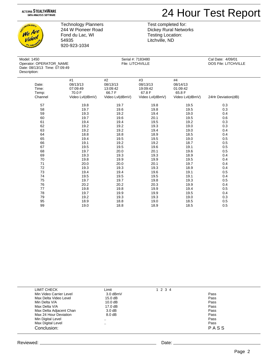

CHINOLOGL We Are *Video!* **PLAN** 

Technology Planners 244 W Pioneer Road Fond du Lac, WI 54935 920-923-1034

| Model: 1450                   |
|-------------------------------|
| Operator: OPERATOR NAME       |
| Date: 08/13/13 Time: 07:09:49 |
| Description:                  |

Test completed for: Dickey Rural Networks Testing Location: Litchville, ND

| Model: 1450<br>Operator: OPERATOR_NAME<br>Date: 08/13/13 Time: 07:09:49<br>Description: |                 | Serial #: 7183480<br>File: LITCHVILLE |                 |                 | Cal Date: 4/09/01<br>DOS File: LITCHVILLE |  |
|-----------------------------------------------------------------------------------------|-----------------|---------------------------------------|-----------------|-----------------|-------------------------------------------|--|
|                                                                                         | #1              | #2                                    | #3              | #4              |                                           |  |
| Date:                                                                                   | 08/13/13        | 08/13/13                              | 08/13/13        | 08/14/13        |                                           |  |
| Time:                                                                                   | 07:09:49        | 13:09:42                              | 19:09:42        | 01:09:42        |                                           |  |
| Temp:                                                                                   | 70.0 F          | 66.7F                                 | 67.8 F          | 65.8 F          |                                           |  |
| Channel                                                                                 | Video Lvl(dBmV) | Video Lvl(dBmV)                       | Video Lvl(dBmV) | Video Lvl(dBmV) | 24Hr Deviation(dB)                        |  |
| 57                                                                                      | 19.8            | 19.7                                  | 19.8            | 19.5            | 0.3                                       |  |
| 58                                                                                      | 19.7            | 19.6                                  | 19.8            | 19.5            | 0.3                                       |  |
| 59                                                                                      | 19.3            | 19.2                                  | 19.4            | 19.0            | 0.4                                       |  |
| 60                                                                                      | 19.7            | 19.6                                  | 20.1            | 19.5            | 0.6                                       |  |
| 61                                                                                      | 19.4            | 19.4                                  | 19.5            | 19.2            | 0.3                                       |  |
| 62                                                                                      | 19.2            | 19.2                                  | 19.3            | 19.0            | 0.3                                       |  |
| 63                                                                                      | 19.2            | 19.2                                  | 19.4            | 19.0            | 0.4                                       |  |
| 64                                                                                      | 18.8            | 18.8                                  | 18.9            | 18.5            | 0.4                                       |  |
| 65                                                                                      | 19.4            | 19.5                                  | 19.5            | 19.0            | 0.5                                       |  |
| 66                                                                                      | 19.1            | 19.2                                  | 19.2            | 18.7            | 0.5                                       |  |
| 67                                                                                      | 19.5            | 19.5                                  | 19.6            | 19.1            | 0.5                                       |  |
| 68                                                                                      | 19.7            | 20.0                                  | 20.1            | 19.6            | 0.5                                       |  |
| 69                                                                                      | 19.3            | 19.3                                  | 19.3            | 18.9            | 0.4                                       |  |
| 70                                                                                      | 19.8            | 19.9                                  | 19.9            | 19.5            | 0.4                                       |  |
| 71                                                                                      | 20.0            | 20.0                                  | 20.1            | 19.7            | 0.4                                       |  |
| 72                                                                                      | 19.3            | 19.3                                  | 19.3            | 18.9            | 0.4                                       |  |
| 73                                                                                      | 19.4            | 19.4                                  | 19.6            | 19.1            | 0.5                                       |  |
| 74                                                                                      | 19.5            | 19.5                                  | 19.5            | 19.1            | 0.4                                       |  |
| 75                                                                                      | 19.7            | 19.7                                  | 19.8            | 19.3            | 0.5                                       |  |
| 76                                                                                      | 20.2            | 20.2                                  | 20.3            | 19.9            | 0.4                                       |  |
| 77                                                                                      | 19.8            | 19.8                                  | 19.9            | 19.4            | 0.5                                       |  |
| 78                                                                                      | 19.7            | 19.9                                  | 19.9            | 19.5            | 0.4                                       |  |
| 79                                                                                      | 19.2            | 19.3                                  | 19.3            | 19.0            | 0.3                                       |  |
| 95                                                                                      | 18.9            | 18.8                                  | 19.0            | 18.5            | 0.5                                       |  |
| 99                                                                                      | 19.0            | 18.8                                  | 18.9            | 18.5            | 0.5                                       |  |

| LIMIT CHECK             | Limit              | 1 2 3 4 |      |  |
|-------------------------|--------------------|---------|------|--|
|                         |                    |         |      |  |
| Min Video Carrier Level | $3.0$ dBmV         |         | Pass |  |
| Max Delta Video Level   | 15.0 dB            |         | Pass |  |
| Min Delta V/A           | 10.0 dB            |         | Pass |  |
| Max Delta V/A           | 17.0 dB            |         | Pass |  |
| Max Delta Adjacent Chan | $3.0 \text{ dB}$   |         | Pass |  |
| Max 24 Hour Deviation   | 8.0 <sub>d</sub> B |         | Pass |  |
| Min Digital Level       | $\sim$ $\sim$      |         | Pass |  |
| Max Digital Level       | $\cdot$ .          |         | Pass |  |
| Conclusion:             |                    |         | PASS |  |
|                         |                    |         |      |  |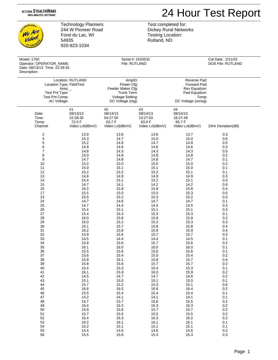### 24 Hour Test Report

**NOLDGL** We Are video! **PLAN** 

Technology Planners 244 W Pioneer Road Fond du Lac, WI 54935 920-923-1034

Test completed for: Dickey Rural Networks Testing Location: Rutland, ND

| Model: 1750<br>Operator: OPERATOR_NAME<br>Date: 08/13/13 Time: 22:28:35<br>Description:                          |                            | Serial #: 2420532<br>File: RUTLAND                                                                |                            | Cal Date: 2/11/02<br>DOS File: RUTLAND                                                           |                    |  |
|------------------------------------------------------------------------------------------------------------------|----------------------------|---------------------------------------------------------------------------------------------------|----------------------------|--------------------------------------------------------------------------------------------------|--------------------|--|
| Location: RUTLAND<br>Location Type: FieldTest<br>Area: $_{-}$<br>Test Pnt Type:<br>Test Pnt Comp:<br>AC Voltage: |                            | AmpID:<br>Power Cfg:<br>Feeder Maker Cfg:<br>Trunk Term:<br>Voltage Setting:<br>DC Voltage (reg): |                            | Reverse Pad:<br>Forward Pad:<br>Rev Equalizer:<br>Fwd Equalizer:<br>Temp:<br>DC Voltage (unreg): |                    |  |
| Date:<br>Time:                                                                                                   | #1<br>08/13/13<br>22:28:35 | #2<br>08/14/13<br>04:27:50                                                                        | #3<br>08/14/13<br>10:27:50 | $\#4$<br>08/14/13<br>16:27:49                                                                    |                    |  |
| Temp:<br>Channel                                                                                                 | 72.0 F<br>Video Lvl(dBmV)  | 63.7 F<br>Video Lvl(dBmV)                                                                         | 63.9F<br>Video Lvl(dBmV)   | 65.7 F<br>Video Lvl(dBmV)                                                                        | 24Hr Deviation(dB) |  |
|                                                                                                                  |                            |                                                                                                   |                            |                                                                                                  |                    |  |
| $\overline{c}$                                                                                                   | 13.9                       | 13.6                                                                                              | 13.6                       | 13.7                                                                                             | 0.3                |  |
| 4                                                                                                                | 15.3                       | 14.7                                                                                              | 15.0                       | 15.0                                                                                             | 0.6                |  |
| 5                                                                                                                | 15.2                       | 14.8                                                                                              | 14.7                       | 14.8                                                                                             | 0.5                |  |
| 6                                                                                                                | 14.9                       | 14.6                                                                                              | 14.6                       | 14.6                                                                                             | 0.3                |  |
| $\boldsymbol{7}$                                                                                                 | 14.8                       | 14.3                                                                                              | 14.3                       | 14.3                                                                                             | 0.5                |  |
| 8                                                                                                                | 15.0                       | 14.8                                                                                              | 14.8                       | 14.8                                                                                             | 0.2                |  |
| $\boldsymbol{9}$                                                                                                 | 14.7                       | 14.8                                                                                              | 14.8                       | 14.7                                                                                             | 0.1                |  |
| 10                                                                                                               | 15.2                       | 15.0                                                                                              | 15.0                       | 15.0                                                                                             | 0.2                |  |
| 11                                                                                                               | 15.0                       | 15.1                                                                                              | 15.1                       | 15.0                                                                                             | 0.1                |  |
| 12                                                                                                               | 15.2                       | 15.2                                                                                              | 15.2                       | 15.1                                                                                             | 0.1                |  |
| 13                                                                                                               | 14.6                       | 14.9                                                                                              | 14.9                       | 14.9                                                                                             | 0.3                |  |
| 14                                                                                                               | 15.4                       | 15.1                                                                                              | 15.2                       | 15.1                                                                                             | 0.3                |  |
| 15                                                                                                               | 14.7                       | 14.1                                                                                              | 14.2                       | 14.2                                                                                             | 0.6                |  |
| 16                                                                                                               | 16.2                       | 15.8                                                                                              | 15.9                       | 15.8                                                                                             | 0.4                |  |
|                                                                                                                  |                            |                                                                                                   |                            |                                                                                                  |                    |  |
| 17                                                                                                               | 15.5                       | 15.0                                                                                              | 15.0                       | 15.3                                                                                             | 0.5                |  |
| 23                                                                                                               | 15.5                       | 15.2                                                                                              | 15.3                       | 15.2                                                                                             | 0.3                |  |
| 24                                                                                                               | 14.7                       | 14.6                                                                                              | 14.7                       | 14.7                                                                                             | 0.1                |  |
| 25                                                                                                               | 14.7                       | 14.4                                                                                              | 14.4                       | 14.5                                                                                             | 0.3                |  |
| 26                                                                                                               | 15.4                       | 15.1                                                                                              | 15.1                       | 15.1                                                                                             | 0.3                |  |
| 27                                                                                                               | 15.4                       | 15.3                                                                                              | 15.3                       | 15.3                                                                                             | 0.1                |  |
| 28                                                                                                               | 16.0                       | 15.8                                                                                              | 15.9                       | 15.9                                                                                             | 0.2                |  |
| 29                                                                                                               | 15.0                       | 15.2                                                                                              | 15.2                       | 15.3                                                                                             | 0.3                |  |
| 30                                                                                                               | 16.1                       | 15.7                                                                                              | 15.8                       | 15.8                                                                                             | 0.4                |  |
| 31                                                                                                               | 16.2                       | 15.8                                                                                              | 15.9                       | 15.9                                                                                             | 0.4                |  |
| 32                                                                                                               | 15.9                       | 15.6                                                                                              | 15.7                       | 15.7                                                                                             | 0.3                |  |
| 33                                                                                                               | 14.5                       | 14.4                                                                                              | 14.4                       | 14.5                                                                                             | 0.1                |  |
| 34                                                                                                               | 15.8                       | 15.6                                                                                              | 15.7                       | 15.6                                                                                             | 0.2                |  |
| 35                                                                                                               | 16.1                       | 16.0                                                                                              | 16.0                       | 16.0                                                                                             | 0.1                |  |
| 36                                                                                                               | 15.5                       | 15.6                                                                                              | 15.6                       | 15.6                                                                                             | 0.1                |  |
| 37                                                                                                               | 15.6                       | 15.4                                                                                              | 15.5                       | 15.4                                                                                             | 0.2                |  |
| 38                                                                                                               | 15.9                       | 16.1                                                                                              | 15.8                       | 15.7                                                                                             | 0.4                |  |
| 39                                                                                                               | 15.8                       | 15.6                                                                                              | 15.7                       | 15.7                                                                                             | 0.2                |  |
| 40                                                                                                               | 15.4                       | 15.3                                                                                              | 15.4                       | 15.3                                                                                             | 0.1                |  |
| 41                                                                                                               | 16.1                       | 15.9                                                                                              | 16.0                       | 15.9                                                                                             | 0.2                |  |
| 42                                                                                                               | 14.5                       | 14.7                                                                                              | 14.7                       | 14.6                                                                                             | 0.2                |  |
| 43                                                                                                               |                            | 15.0                                                                                              |                            | 15.0                                                                                             |                    |  |
|                                                                                                                  | 15.1                       |                                                                                                   | 15.1                       |                                                                                                  | 0.1                |  |
| 44                                                                                                               | 15.7                       | 15.2                                                                                              | 15.3                       | 15.1                                                                                             | 0.6                |  |
| 45                                                                                                               | 16.6                       | 16.5                                                                                              | 16.6                       | 16.4                                                                                             | 0.2                |  |
| 46                                                                                                               | 15.5                       | 15.4                                                                                              | 15.4                       | 15.4                                                                                             | 0.1                |  |
| 47                                                                                                               | 14.2                       | 14.1                                                                                              | 14.1                       | 14.1                                                                                             | 0.1                |  |
| 48                                                                                                               | 15.7                       | 15.7                                                                                              | 15.6                       | 15.5                                                                                             | $0.2\,$            |  |
| 49                                                                                                               | 16.4                       | 16.2                                                                                              | 16.3                       | 16.3                                                                                             | 0.2                |  |
| 50                                                                                                               | 15.9                       | 15.8                                                                                              | 15.7                       | 15.7                                                                                             | $0.2\,$            |  |
| 51                                                                                                               | 15.7                       | 15.5                                                                                              | 15.5                       | 15.5                                                                                             | $0.2\,$            |  |
| 52                                                                                                               | 16.4                       | 16.3                                                                                              | 16.3                       | 16.2                                                                                             | $0.2\,$            |  |
| 53                                                                                                               | 16.2                       | 16.1                                                                                              | 16.1                       | 16.1                                                                                             | 0.1                |  |
| 54                                                                                                               | 15.2                       | 15.1                                                                                              | 15.1                       | 15.1                                                                                             | 0.1                |  |

55 14.4 14.6 14.6 14.6 0.2 56 15.5 15.6 15.3 15.3 0.3